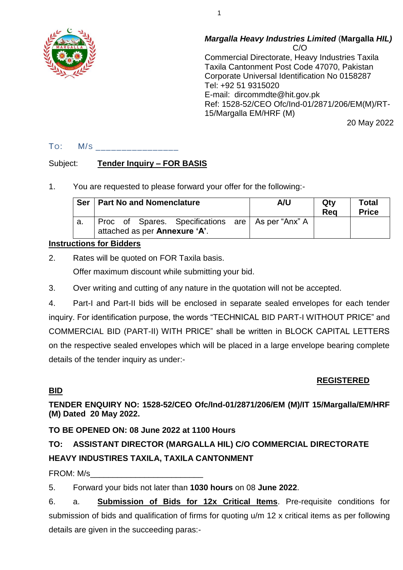

#### *Margalla Heavy Industries Limited* (**Margalla** *HIL)* C/O

Commercial Directorate, Heavy Industries Taxila Taxila Cantonment Post Code 47070, Pakistan Corporate Universal Identification No 0158287 Tel: +92 51 9315020 E-mail: dircommdte@hit.gov.pk Ref: 1528-52/CEO Ofc/Ind-01/2871/206/EM(M)/RT-15/Margalla EM/HRF (M)

20 May 2022

## TO: M/S \_\_\_\_\_\_\_\_\_\_\_\_\_\_\_\_

## Subject: **Tender Inquiry – FOR BASIS**

1. You are requested to please forward your offer for the following:-

| <b>Ser</b> | <b>Part No and Nomenclature</b>                                                    | A/U | Qtv<br>Rea | <b>Total</b><br><b>Price</b> |
|------------|------------------------------------------------------------------------------------|-----|------------|------------------------------|
| а.         | Proc of Spares. Specifications are As per "Anx" A<br>attached as per Annexure 'A'. |     |            |                              |

## **Instructions for Bidders**

2. Rates will be quoted on FOR Taxila basis.

Offer maximum discount while submitting your bid.

3. Over writing and cutting of any nature in the quotation will not be accepted.

4. Part-I and Part-II bids will be enclosed in separate sealed envelopes for each tender inquiry. For identification purpose, the words "TECHNICAL BID PART-I WITHOUT PRICE" and COMMERCIAL BID (PART-II) WITH PRICE" shall be written in BLOCK CAPITAL LETTERS on the respective sealed envelopes which will be placed in a large envelope bearing complete details of the tender inquiry as under:-

## **REGISTERED**

## **BID**

**TENDER ENQUIRY NO: 1528-52/CEO Ofc/Ind-01/2871/206/EM (M)/IT 15/Margalla/EM/HRF (M) Dated 20 May 2022.**

## **TO BE OPENED ON: 08 June 2022 at 1100 Hours**

# **TO: ASSISTANT DIRECTOR (MARGALLA HIL) C/O COMMERCIAL DIRECTORATE HEAVY INDUSTIRES TAXILA, TAXILA CANTONMENT**

## FROM: M/s\_\_\_\_\_\_\_\_\_\_\_\_\_\_\_\_\_\_\_\_\_\_\_\_\_

5. Forward your bids not later than **1030 hours** on 08 **June 2022**.

6. a. **Submission of Bids for 12x Critical Items**. Pre-requisite conditions for submission of bids and qualification of firms for quoting u/m 12 x critical items as per following details are given in the succeeding paras:-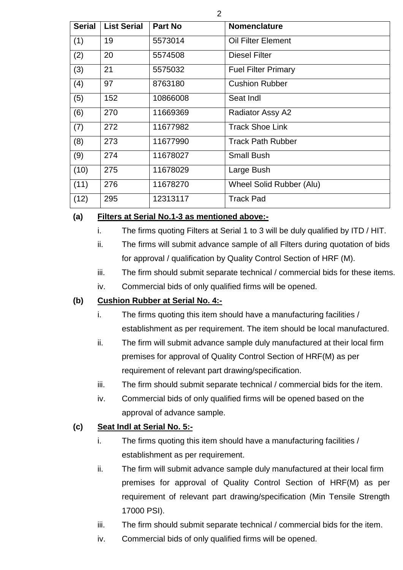| <b>Serial</b> | <b>List Serial</b> | <b>Part No</b> | <b>Nomenclature</b>             |
|---------------|--------------------|----------------|---------------------------------|
| (1)           | 19                 | 5573014        | <b>Oil Filter Element</b>       |
| (2)           | 20                 | 5574508        | <b>Diesel Filter</b>            |
| (3)           | 21                 | 5575032        | <b>Fuel Filter Primary</b>      |
| (4)           | 97                 | 8763180        | <b>Cushion Rubber</b>           |
| (5)           | 152                | 10866008       | Seat Indl                       |
| (6)           | 270                | 11669369       | Radiator Assy A2                |
| (7)           | 272                | 11677982       | <b>Track Shoe Link</b>          |
| (8)           | 273                | 11677990       | <b>Track Path Rubber</b>        |
| (9)           | 274                | 11678027       | <b>Small Bush</b>               |
| (10)          | 275                | 11678029       | Large Bush                      |
| (11)          | 276                | 11678270       | <b>Wheel Solid Rubber (Alu)</b> |
| (12)          | 295                | 12313117       | <b>Track Pad</b>                |

## **(a) Filters at Serial No.1-3 as mentioned above:-**

- i. The firms quoting Filters at Serial 1 to 3 will be duly qualified by ITD / HIT.
- ii. The firms will submit advance sample of all Filters during quotation of bids for approval / qualification by Quality Control Section of HRF (M).
- iii. The firm should submit separate technical / commercial bids for these items.
- iv. Commercial bids of only qualified firms will be opened.

## **(b) Cushion Rubber at Serial No. 4:-**

- i. The firms quoting this item should have a manufacturing facilities / establishment as per requirement. The item should be local manufactured.
- ii. The firm will submit advance sample duly manufactured at their local firm premises for approval of Quality Control Section of HRF(M) as per requirement of relevant part drawing/specification.
- iii. The firm should submit separate technical / commercial bids for the item.
- iv. Commercial bids of only qualified firms will be opened based on the approval of advance sample.

## **(c) Seat Indl at Serial No. 5:-**

- i. The firms quoting this item should have a manufacturing facilities / establishment as per requirement.
- ii. The firm will submit advance sample duly manufactured at their local firm premises for approval of Quality Control Section of HRF(M) as per requirement of relevant part drawing/specification (Min Tensile Strength 17000 PSI).
- iii. The firm should submit separate technical / commercial bids for the item.
- iv. Commercial bids of only qualified firms will be opened.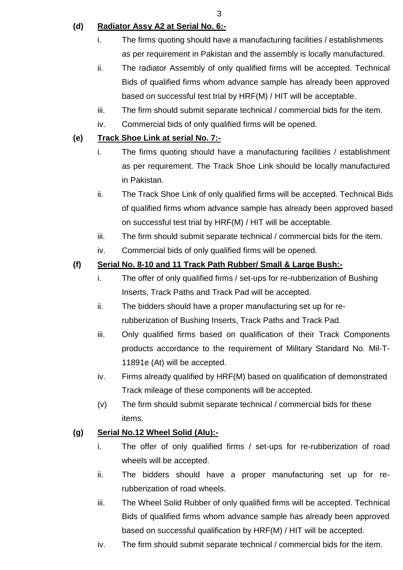3

## **(d) Radiator Assy A2 at Serial No. 6:-**

- i. The firms quoting should have a manufacturing facilities / establishments as per requirement in Pakistan and the assembly is locally manufactured.
- ii. The radiator Assembly of only qualified firms will be accepted. Technical Bids of qualified firms whom advance sample has already been approved based on successful test trial by HRF(M) / HIT will be acceptable.
- iii. The firm should submit separate technical / commercial bids for the item.
- iv. Commercial bids of only qualified firms will be opened.

## **(e) Track Shoe Link at serial No. 7:-**

- i. The firms quoting should have a manufacturing facilities / establishment as per requirement. The Track Shoe Link should be locally manufactured in Pakistan.
- ii. The Track Shoe Link of only qualified firms will be accepted. Technical Bids of qualified firms whom advance sample has already been approved based on successful test trial by HRF(M) / HIT will be acceptable.
- iii. The firm should submit separate technical / commercial bids for the item.
- iv. Commercial bids of only qualified firms will be opened.

## **(f) Serial No. 8-10 and 11 Track Path Rubber/ Small & Large Bush:-**

- i. The offer of only qualified firms / set-ups for re-rubberization of Bushing Inserts, Track Paths and Track Pad will be accepted.
- ii. The bidders should have a proper manufacturing set up for rerubberization of Bushing Inserts, Track Paths and Track Pad.
- iii. Only qualified firms based on qualification of their Track Components products accordance to the requirement of Military Standard No. Mil-T-11891e (At) will be accepted.
- iv. Firms already qualified by HRF(M) based on qualification of demonstrated Track mileage of these components will be accepted.
- (v) The firm should submit separate technical / commercial bids for these items.

## **(g) Serial No.12 Wheel Solid (Alu):-**

- i. The offer of only qualified firms / set-ups for re-rubberization of road wheels will be accepted.
- ii. The bidders should have a proper manufacturing set up for rerubberization of road wheels.
- iii. The Wheel Solid Rubber of only qualified firms will be accepted. Technical Bids of qualified firms whom advance sample has already been approved based on successful qualification by HRF(M) / HIT will be accepted.
- iv. The firm should submit separate technical / commercial bids for the item.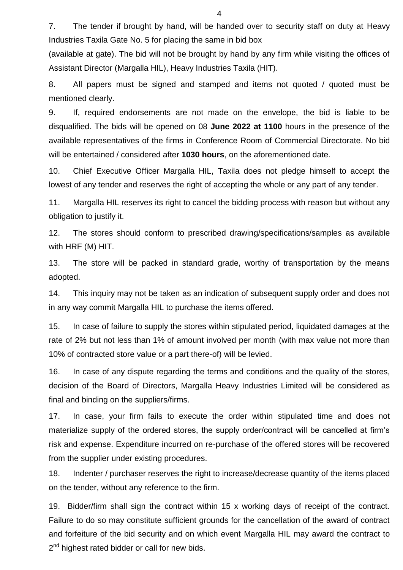7. The tender if brought by hand, will be handed over to security staff on duty at Heavy Industries Taxila Gate No. 5 for placing the same in bid box

(available at gate). The bid will not be brought by hand by any firm while visiting the offices of Assistant Director (Margalla HIL), Heavy Industries Taxila (HIT).

8. All papers must be signed and stamped and items not quoted / quoted must be mentioned clearly.

9. If, required endorsements are not made on the envelope, the bid is liable to be disqualified. The bids will be opened on 08 **June 2022 at 1100** hours in the presence of the available representatives of the firms in Conference Room of Commercial Directorate. No bid will be entertained / considered after **1030 hours**, on the aforementioned date.

10. Chief Executive Officer Margalla HIL, Taxila does not pledge himself to accept the lowest of any tender and reserves the right of accepting the whole or any part of any tender.

11. Margalla HIL reserves its right to cancel the bidding process with reason but without any obligation to justify it.

12. The stores should conform to prescribed drawing/specifications/samples as available with HRF (M) HIT.

13. The store will be packed in standard grade, worthy of transportation by the means adopted.

14. This inquiry may not be taken as an indication of subsequent supply order and does not in any way commit Margalla HIL to purchase the items offered.

15. In case of failure to supply the stores within stipulated period, liquidated damages at the rate of 2% but not less than 1% of amount involved per month (with max value not more than 10% of contracted store value or a part there-of) will be levied.

16. In case of any dispute regarding the terms and conditions and the quality of the stores, decision of the Board of Directors, Margalla Heavy Industries Limited will be considered as final and binding on the suppliers/firms.

17. In case, your firm fails to execute the order within stipulated time and does not materialize supply of the ordered stores, the supply order/contract will be cancelled at firm"s risk and expense. Expenditure incurred on re-purchase of the offered stores will be recovered from the supplier under existing procedures.

18. Indenter / purchaser reserves the right to increase/decrease quantity of the items placed on the tender, without any reference to the firm.

19. Bidder/firm shall sign the contract within 15 x working days of receipt of the contract. Failure to do so may constitute sufficient grounds for the cancellation of the award of contract and forfeiture of the bid security and on which event Margalla HIL may award the contract to 2<sup>nd</sup> highest rated bidder or call for new bids.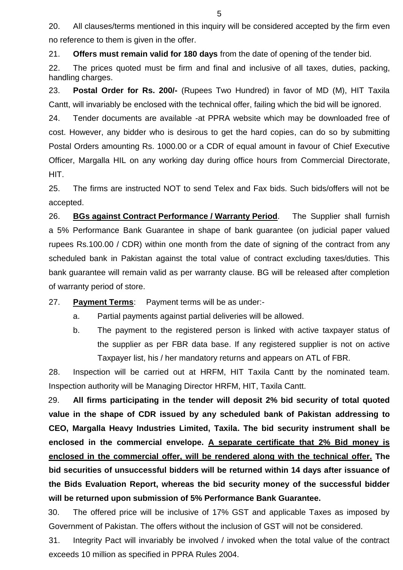20. All clauses/terms mentioned in this inquiry will be considered accepted by the firm even no reference to them is given in the offer.

21. **Offers must remain valid for 180 days** from the date of opening of the tender bid.

22. The prices quoted must be firm and final and inclusive of all taxes, duties, packing, handling charges.

23. **Postal Order for Rs. 200/-** (Rupees Two Hundred) in favor of MD (M), HIT Taxila Cantt, will invariably be enclosed with the technical offer, failing which the bid will be ignored.

24. Tender documents are available -at PPRA website which may be downloaded free of cost. However, any bidder who is desirous to get the hard copies, can do so by submitting Postal Orders amounting Rs. 1000.00 or a CDR of equal amount in favour of Chief Executive Officer, Margalla HIL on any working day during office hours from Commercial Directorate, HIT.

25. The firms are instructed NOT to send Telex and Fax bids. Such bids/offers will not be accepted.

26. **BGs against Contract Performance / Warranty Period**. The Supplier shall furnish a 5% Performance Bank Guarantee in shape of bank guarantee (on judicial paper valued rupees Rs.100.00 / CDR) within one month from the date of signing of the contract from any scheduled bank in Pakistan against the total value of contract excluding taxes/duties. This bank guarantee will remain valid as per warranty clause. BG will be released after completion of warranty period of store.

27. **Payment Terms**: Payment terms will be as under:-

- a. Partial payments against partial deliveries will be allowed.
- b. The payment to the registered person is linked with active taxpayer status of the supplier as per FBR data base. If any registered supplier is not on active Taxpayer list, his / her mandatory returns and appears on ATL of FBR.

28. Inspection will be carried out at HRFM, HIT Taxila Cantt by the nominated team. Inspection authority will be Managing Director HRFM, HIT, Taxila Cantt.

29. **All firms participating in the tender will deposit 2% bid security of total quoted value in the shape of CDR issued by any scheduled bank of Pakistan addressing to CEO, Margalla Heavy Industries Limited, Taxila. The bid security instrument shall be enclosed in the commercial envelope. A separate certificate that 2% Bid money is enclosed in the commercial offer, will be rendered along with the technical offer. The bid securities of unsuccessful bidders will be returned within 14 days after issuance of the Bids Evaluation Report, whereas the bid security money of the successful bidder will be returned upon submission of 5% Performance Bank Guarantee.**

30. The offered price will be inclusive of 17% GST and applicable Taxes as imposed by Government of Pakistan. The offers without the inclusion of GST will not be considered.

31. Integrity Pact will invariably be involved / invoked when the total value of the contract exceeds 10 million as specified in PPRA Rules 2004.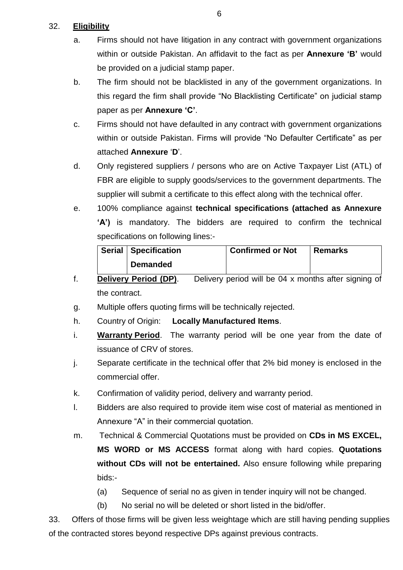## 32. **Eligibility**

- a. Firms should not have litigation in any contract with government organizations within or outside Pakistan. An affidavit to the fact as per **Annexure 'B'** would be provided on a judicial stamp paper.
- b. The firm should not be blacklisted in any of the government organizations. In this regard the firm shall provide "No Blacklisting Certificate" on judicial stamp paper as per **Annexure 'C'**.
- c. Firms should not have defaulted in any contract with government organizations within or outside Pakistan. Firms will provide "No Defaulter Certificate" as per attached **Annexure** "**D**".
- d. Only registered suppliers / persons who are on Active Taxpayer List (ATL) of FBR are eligible to supply goods/services to the government departments. The supplier will submit a certificate to this effect along with the technical offer.
- e. 100% compliance against **technical specifications (attached as Annexure 'A')** is mandatory. The bidders are required to confirm the technical specifications on following lines:-

| Serial   Specification | <b>Confirmed or Not</b> | ∣ Remarks |
|------------------------|-------------------------|-----------|
| <b>Demanded</b>        |                         |           |

- f. **Delivery Period (DP)**. Delivery period will be 04 x months after signing of the contract.
- g. Multiple offers quoting firms will be technically rejected.
- h. Country of Origin: **Locally Manufactured Items**.
- i. **Warranty Period**. The warranty period will be one year from the date of issuance of CRV of stores.
- j. Separate certificate in the technical offer that 2% bid money is enclosed in the commercial offer.
- k. Confirmation of validity period, delivery and warranty period.
- l. Bidders are also required to provide item wise cost of material as mentioned in Annexure "A" in their commercial quotation.
- m. Technical & Commercial Quotations must be provided on **CDs in MS EXCEL, MS WORD or MS ACCESS** format along with hard copies. **Quotations without CDs will not be entertained.** Also ensure following while preparing bids:-
	- (a) Sequence of serial no as given in tender inquiry will not be changed.
	- (b) No serial no will be deleted or short listed in the bid/offer.

33. Offers of those firms will be given less weightage which are still having pending supplies of the contracted stores beyond respective DPs against previous contracts.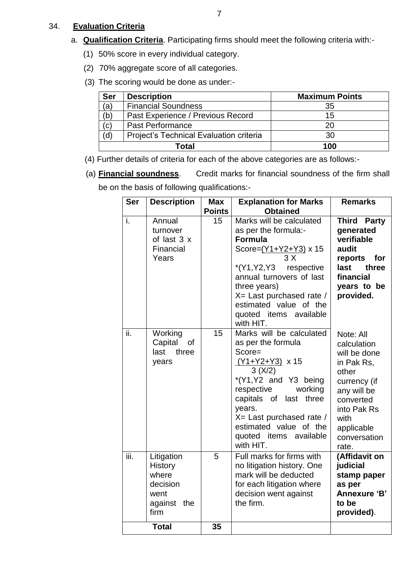#### 34. **Evaluation Criteria**

- a. **Qualification Criteria**. Participating firms should meet the following criteria with:-
	- (1) 50% score in every individual category.
	- (2) 70% aggregate score of all categories.
	- (3) The scoring would be done as under:-

| <b>Ser</b> | <b>Description</b>                      | <b>Maximum Points</b> |
|------------|-----------------------------------------|-----------------------|
| (à         | <b>Financial Soundness</b>              | 35                    |
| (b         | Past Experience / Previous Record       | 15                    |
| (c)        | Past Performance                        | 20                    |
| (d)        | Project's Technical Evaluation criteria | 30                    |
|            | Total                                   | 100                   |

- (4) Further details of criteria for each of the above categories are as follows:-
- (a) **Financial soundness**. Credit marks for financial soundness of the firm shall

be on the basis of following qualifications:-

| <b>Ser</b> | <b>Description</b>                                                               | <b>Max</b>    | <b>Explanation for Marks</b>                                                                                                                                                                                                                                                     | <b>Remarks</b>                                                                                                                                                            |
|------------|----------------------------------------------------------------------------------|---------------|----------------------------------------------------------------------------------------------------------------------------------------------------------------------------------------------------------------------------------------------------------------------------------|---------------------------------------------------------------------------------------------------------------------------------------------------------------------------|
|            |                                                                                  | <b>Points</b> | <b>Obtained</b>                                                                                                                                                                                                                                                                  |                                                                                                                                                                           |
| i.         | Annual<br>turnover<br>of last 3 x<br>Financial<br>Years                          | 15            | Marks will be calculated<br>as per the formula:-<br><b>Formula</b><br>Score= $\frac{(Y1+Y2+Y3)}{Y}$ x 15<br>3X<br>*(Y1,Y2,Y3 respective<br>annual turnovers of last<br>three years)<br>X= Last purchased rate /<br>estimated value of the<br>quoted items available<br>with HIT. | <b>Third Party</b><br>generated<br>verifiable<br>audit<br>reports for<br>last<br>three<br>financial<br>years to be<br>provided.                                           |
| ii.        | Working<br>Capital<br>of<br>last<br>three<br>years                               | 15            | Marks will be calculated<br>as per the formula<br>Score=<br>(Y1+Y2+Y3) x 15<br>3(X/2)<br>*(Y1,Y2 and Y3 being<br>respective<br>working<br>capitals of last three<br>years.<br>X= Last purchased rate /<br>estimated value of the<br>quoted items available<br>with HIT.          | Note: All<br>calculation<br>will be done<br>in Pak Rs,<br>other<br>currency (if<br>any will be<br>converted<br>into Pak Rs<br>with<br>applicable<br>conversation<br>rate. |
| iii.       | Litigation<br><b>History</b><br>where<br>decision<br>went<br>against the<br>firm | 5             | Full marks for firms with<br>no litigation history. One<br>mark will be deducted<br>for each litigation where<br>decision went against<br>the firm.                                                                                                                              | (Affidavit on<br>judicial<br>stamp paper<br>as per<br>Annexure 'B'<br>to be<br>provided).                                                                                 |
|            | <b>Total</b>                                                                     | 35            |                                                                                                                                                                                                                                                                                  |                                                                                                                                                                           |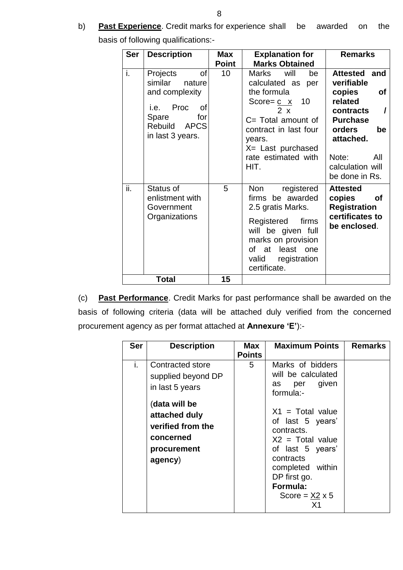b) **Past Experience**. Credit marks for experience shall be awarded on the

| <b>Ser</b> | <b>Description</b>                                                                                                           | <b>Max</b>         | <b>Explanation for</b>                                                                                                                                                                                                                 | <b>Remarks</b>                                                                                                                                                                  |
|------------|------------------------------------------------------------------------------------------------------------------------------|--------------------|----------------------------------------------------------------------------------------------------------------------------------------------------------------------------------------------------------------------------------------|---------------------------------------------------------------------------------------------------------------------------------------------------------------------------------|
| i.         | of<br>Projects<br>similar<br>nature<br>and complexity<br>i.e. Proc<br>of<br>Spare<br>for<br>Rebuild APCS<br>in last 3 years. | <b>Point</b><br>10 | <b>Marks Obtained</b><br>will<br>Marks<br>be<br>calculated as per<br>the formula<br>Score= $c \times 10$<br>$2 \times$<br>$C = Total amount of$<br>contract in last four<br>years.<br>X= Last purchased<br>rate estimated with<br>HIT. | Attested and<br>verifiable<br>of<br>copies<br>related<br>contracts<br><b>Purchase</b><br><b>orders</b><br>be<br>attached.<br>Note:<br>All<br>calculation will<br>be done in Rs. |
| ii.        | Status of<br>enlistment with<br>Government<br>Organizations                                                                  | 5                  | Non registered<br>firms be awarded<br>2.5 gratis Marks.<br>Registered<br>firms<br>will be given full<br>marks on provision<br>of at least one<br>valid registration<br>certificate.                                                    | <b>Attested</b><br>copies<br><b>of</b><br><b>Registration</b><br>certificates to<br>be enclosed.                                                                                |
|            | <b>Total</b>                                                                                                                 | 15                 |                                                                                                                                                                                                                                        |                                                                                                                                                                                 |

(c) **Past Performance**. Credit Marks for past performance shall be awarded on the basis of following criteria (data will be attached duly verified from the concerned procurement agency as per format attached at **Annexure 'E'**):-

| <b>Ser</b> | <b>Description</b>                                                                         | Max           | <b>Maximum Points</b>                                                                                                                                                                | <b>Remarks</b> |
|------------|--------------------------------------------------------------------------------------------|---------------|--------------------------------------------------------------------------------------------------------------------------------------------------------------------------------------|----------------|
|            |                                                                                            | <b>Points</b> |                                                                                                                                                                                      |                |
| i.         | Contracted store<br>supplied beyond DP<br>in last 5 years                                  | 5             | Marks of bidders<br>will be calculated<br>per given<br>as<br>formula:-                                                                                                               |                |
|            | (data will be<br>attached duly<br>verified from the<br>concerned<br>procurement<br>agency) |               | $X1 = Total value$<br>of last 5 years'<br>contracts.<br>$X2 = Total value$<br>of last 5 years'<br>contracts<br>completed within<br>DP first go.<br>Formula:<br>Score = $X2 \times 5$ |                |

basis of following qualifications:-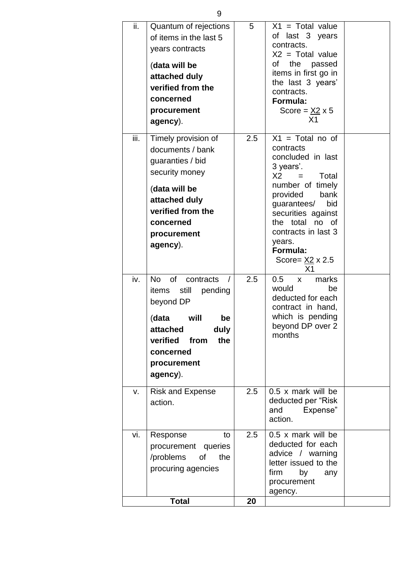| ii.  | Quantum of rejections<br>of items in the last 5<br>years contracts<br>(data will be<br>attached duly<br>verified from the<br>concerned<br>procurement<br>agency).                 | 5   | $X1 = Total value$<br>last 3 years<br>of<br>contracts.<br>$X2 = Total value$<br>the passed<br>of<br>items in first go in<br>the last 3 years'<br>contracts.<br>Formula:<br>Score = $\underline{X2}$ x 5<br>X <sub>1</sub>                                                                    |  |
|------|-----------------------------------------------------------------------------------------------------------------------------------------------------------------------------------|-----|----------------------------------------------------------------------------------------------------------------------------------------------------------------------------------------------------------------------------------------------------------------------------------------------|--|
| iii. | Timely provision of<br>documents / bank<br>guaranties / bid<br>security money<br>(data will be<br>attached duly<br>verified from the<br>concerned<br>procurement<br>agency).      | 2.5 | $X1 = Total no of$<br>contracts<br>concluded in last<br>3 years'.<br>X <sub>2</sub><br>Total<br>$=$<br>number of timely<br>provided<br>bank<br>bid<br>guarantees/<br>securities against<br>the total no of<br>contracts in last 3<br>years.<br>Formula:<br>Score= $\frac{X2}{X}$ x 2.5<br>X1 |  |
| iv.  | <b>No</b><br>of<br>contracts<br>items<br>still<br>pending<br>beyond DP<br>will<br>(data<br>be<br>attached<br>duly<br>verified from<br>the<br>concerned<br>procurement<br>agency). | 2.5 | marks<br>0.5<br>X<br>would<br>be<br>deducted for each<br>contract in hand,<br>which is pending<br>beyond DP over 2<br>months                                                                                                                                                                 |  |
| V.   | <b>Risk and Expense</b><br>action.                                                                                                                                                | 2.5 | $0.5 \times$ mark will be<br>deducted per "Risk<br>and<br>Expense"<br>action.                                                                                                                                                                                                                |  |
| vi.  | Response<br>to<br>procurement queries<br>/problems of<br>the<br>procuring agencies                                                                                                | 2.5 | $0.5 \times$ mark will be<br>deducted for each<br>advice / warning<br>letter issued to the<br>firm<br>by<br>any<br>procurement<br>agency.                                                                                                                                                    |  |
|      | <b>Total</b>                                                                                                                                                                      | 20  |                                                                                                                                                                                                                                                                                              |  |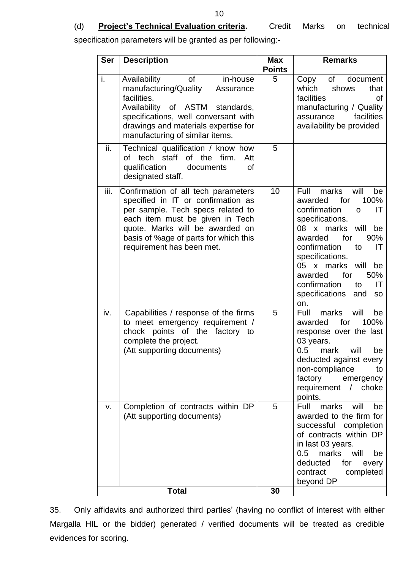## (d) **Project's Technical Evaluation criteria.** Credit Marks on technical

specification parameters will be granted as per following:-

| <b>Ser</b> | <b>Description</b>                                                                                                                                                                                                                                         | <b>Max</b><br><b>Points</b> | <b>Remarks</b>                                                                                                                                                                                                                                                                                                                                  |
|------------|------------------------------------------------------------------------------------------------------------------------------------------------------------------------------------------------------------------------------------------------------------|-----------------------------|-------------------------------------------------------------------------------------------------------------------------------------------------------------------------------------------------------------------------------------------------------------------------------------------------------------------------------------------------|
| i.         | Availability<br>of<br>in-house<br>manufacturing/Quality<br>Assurance<br>facilities.<br>Availability of ASTM<br>standards,<br>specifications, well conversant with<br>drawings and materials expertise for<br>manufacturing of similar items.               | 5                           | of<br>document<br>Copy<br>which<br>shows<br>that<br>facilities<br>οf<br>manufacturing / Quality<br>facilities<br>assurance<br>availability be provided                                                                                                                                                                                          |
| ii.        | Technical qualification / know how<br>of the<br>tech staff<br>firm.<br>of<br>Att<br>qualification<br>οf<br>documents<br>designated staff.                                                                                                                  | 5                           |                                                                                                                                                                                                                                                                                                                                                 |
| iii.       | Confirmation of all tech parameters<br>specified in IT or confirmation as<br>per sample. Tech specs related to<br>each item must be given in Tech<br>quote. Marks will be awarded on<br>basis of %age of parts for which this<br>requirement has been met. | 10                          | will<br>Full<br>marks<br>be<br>100%<br>for<br>awarded<br>confirmation<br>IT<br>$\mathsf{o}$<br>specifications.<br>x marks<br>will<br>08<br>be<br>90%<br>awarded<br>for<br>confirmation<br>IT<br>to<br>specifications.<br>x marks<br>will<br>05<br>be<br>50%<br>awarded<br>for<br>confirmation<br>IT<br>to<br>specifications<br>and<br>SO<br>on. |
| iv.        | Capabilities / response of the firms<br>to meet emergency requirement /<br>chock points of the factory to<br>complete the project.<br>(Att supporting documents)                                                                                           | 5                           | marks<br>will<br>Full<br>be<br>100%<br>awarded<br>for<br>response over the last<br>03 years.<br>0.5<br>mark<br>will<br>be<br>deducted against every<br>non-compliance<br>to<br>factory<br>emergency<br>requirement / choke<br>points.                                                                                                           |
| V.         | Completion of contracts within DP<br>(Att supporting documents)                                                                                                                                                                                            | 5                           | Full<br>marks<br>will<br>be<br>awarded to the firm for<br>successful completion<br>of contracts within DP<br>in last 03 years.<br>0.5<br>marks<br>will<br>be<br>deducted<br>for<br>every<br>contract<br>completed<br>beyond DP                                                                                                                  |
|            | <b>Total</b>                                                                                                                                                                                                                                               | 30                          |                                                                                                                                                                                                                                                                                                                                                 |

35. Only affidavits and authorized third parties" (having no conflict of interest with either Margalla HIL or the bidder) generated / verified documents will be treated as credible evidences for scoring.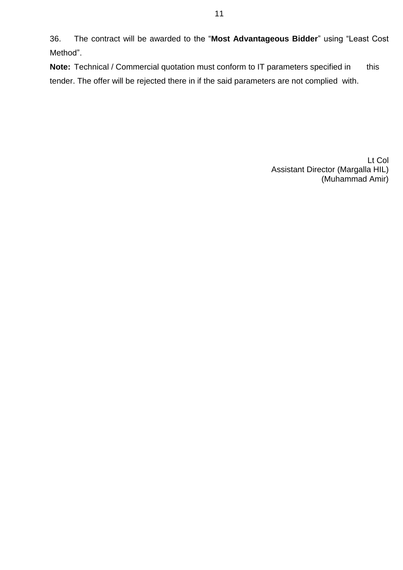36. The contract will be awarded to the "**Most Advantageous Bidder**" using "Least Cost Method".

**Note:** Technical / Commercial quotation must conform to IT parameters specified in this tender. The offer will be rejected there in if the said parameters are not complied with.

> Lt Col Assistant Director (Margalla HIL) (Muhammad Amir)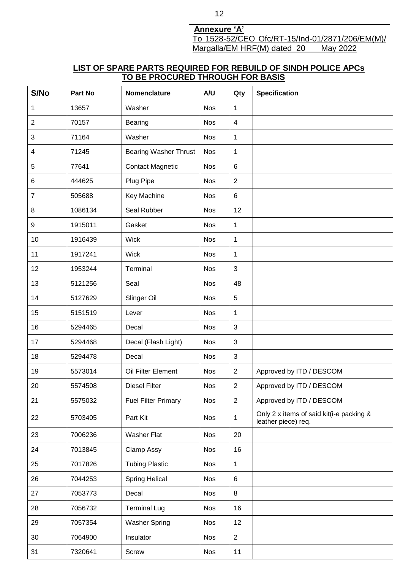**Annexure 'A'** To 1528-52/CEO Ofc/RT-15/Ind-01/2871/206/EM(M)/ Margalla/EM HRF(M) dated 20 May 2022

## **LIST OF SPARE PARTS REQUIRED FOR REBUILD OF SINDH POLICE APCs TO BE PROCURED THROUGH FOR BASIS**

| S/No         | Part No | Nomenclature                 | A/U        | Qty            | <b>Specification</b>                                            |
|--------------|---------|------------------------------|------------|----------------|-----------------------------------------------------------------|
| 1            | 13657   | Washer                       | <b>Nos</b> | 1              |                                                                 |
| $\mathbf{2}$ | 70157   | Bearing                      | <b>Nos</b> | $\overline{4}$ |                                                                 |
| 3            | 71164   | Washer                       | <b>Nos</b> | 1              |                                                                 |
| 4            | 71245   | <b>Bearing Washer Thrust</b> | <b>Nos</b> | 1              |                                                                 |
| 5            | 77641   | <b>Contact Magnetic</b>      | <b>Nos</b> | $\,6\,$        |                                                                 |
| 6            | 444625  | Plug Pipe                    | <b>Nos</b> | $\overline{2}$ |                                                                 |
| 7            | 505688  | Key Machine                  | <b>Nos</b> | 6              |                                                                 |
| 8            | 1086134 | Seal Rubber                  | <b>Nos</b> | 12             |                                                                 |
| 9            | 1915011 | Gasket                       | <b>Nos</b> | 1              |                                                                 |
| 10           | 1916439 | <b>Wick</b>                  | <b>Nos</b> | 1              |                                                                 |
| 11           | 1917241 | <b>Wick</b>                  | <b>Nos</b> | 1              |                                                                 |
| 12           | 1953244 | Terminal                     | <b>Nos</b> | 3              |                                                                 |
| 13           | 5121256 | Seal                         | <b>Nos</b> | 48             |                                                                 |
| 14           | 5127629 | Slinger Oil                  | <b>Nos</b> | 5              |                                                                 |
| 15           | 5151519 | Lever                        | <b>Nos</b> | 1              |                                                                 |
| 16           | 5294465 | Decal                        | <b>Nos</b> | 3              |                                                                 |
| 17           | 5294468 | Decal (Flash Light)          | <b>Nos</b> | 3              |                                                                 |
| 18           | 5294478 | Decal                        | <b>Nos</b> | $\sqrt{3}$     |                                                                 |
| 19           | 5573014 | Oil Filter Element           | <b>Nos</b> | $\overline{2}$ | Approved by ITD / DESCOM                                        |
| 20           | 5574508 | <b>Diesel Filter</b>         | Nos        | $\overline{c}$ | Approved by ITD / DESCOM                                        |
| 21           | 5575032 | <b>Fuel Filter Primary</b>   | <b>Nos</b> | $\overline{2}$ | Approved by ITD / DESCOM                                        |
| 22           | 5703405 | Part Kit                     | <b>Nos</b> | 1              | Only 2 x items of said kit(i-e packing &<br>leather piece) req. |
| 23           | 7006236 | Washer Flat                  | <b>Nos</b> | 20             |                                                                 |
| 24           | 7013845 | Clamp Assy                   | <b>Nos</b> | 16             |                                                                 |
| 25           | 7017826 | <b>Tubing Plastic</b>        | <b>Nos</b> | 1              |                                                                 |
| 26           | 7044253 | <b>Spring Helical</b>        | <b>Nos</b> | $\,6\,$        |                                                                 |
| 27           | 7053773 | Decal                        | <b>Nos</b> | 8              |                                                                 |
| 28           | 7056732 | <b>Terminal Lug</b>          | <b>Nos</b> | 16             |                                                                 |
| 29           | 7057354 | <b>Washer Spring</b>         | <b>Nos</b> | 12             |                                                                 |
| 30           | 7064900 | Insulator                    | <b>Nos</b> | $\overline{2}$ |                                                                 |
| 31           | 7320641 | Screw                        | <b>Nos</b> | 11             |                                                                 |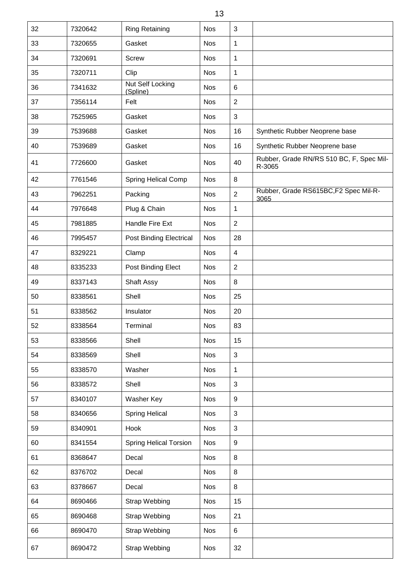| 32 | 7320642 | <b>Ring Retaining</b>         | <b>Nos</b> | 3                |                                                    |
|----|---------|-------------------------------|------------|------------------|----------------------------------------------------|
| 33 | 7320655 | Gasket                        | <b>Nos</b> | 1                |                                                    |
| 34 | 7320691 | <b>Screw</b>                  | <b>Nos</b> | 1                |                                                    |
| 35 | 7320711 | Clip                          | <b>Nos</b> | 1                |                                                    |
| 36 | 7341632 | Nut Self Locking<br>(Spline)  | <b>Nos</b> | 6                |                                                    |
| 37 | 7356114 | Felt                          | <b>Nos</b> | $\overline{2}$   |                                                    |
| 38 | 7525965 | Gasket                        | <b>Nos</b> | $\mathfrak{S}$   |                                                    |
| 39 | 7539688 | Gasket                        | <b>Nos</b> | 16               | Synthetic Rubber Neoprene base                     |
| 40 | 7539689 | Gasket                        | <b>Nos</b> | 16               | Synthetic Rubber Neoprene base                     |
| 41 | 7726600 | Gasket                        | <b>Nos</b> | 40               | Rubber, Grade RN/RS 510 BC, F, Spec Mil-<br>R-3065 |
| 42 | 7761546 | <b>Spring Helical Comp</b>    | <b>Nos</b> | 8                |                                                    |
| 43 | 7962251 | Packing                       | <b>Nos</b> | $\overline{2}$   | Rubber, Grade RS615BC, F2 Spec Mil-R-<br>3065      |
| 44 | 7976648 | Plug & Chain                  | <b>Nos</b> | 1                |                                                    |
| 45 | 7981885 | Handle Fire Ext               | <b>Nos</b> | $\overline{2}$   |                                                    |
| 46 | 7995457 | Post Binding Electrical       | <b>Nos</b> | 28               |                                                    |
| 47 | 8329221 | Clamp                         | <b>Nos</b> | $\overline{4}$   |                                                    |
| 48 | 8335233 | Post Binding Elect            | <b>Nos</b> | 2                |                                                    |
| 49 | 8337143 | Shaft Assy                    | <b>Nos</b> | 8                |                                                    |
| 50 | 8338561 | Shell                         | <b>Nos</b> | 25               |                                                    |
| 51 | 8338562 | Insulator                     | <b>Nos</b> | 20               |                                                    |
| 52 | 8338564 | Terminal                      | <b>Nos</b> | 83               |                                                    |
| 53 | 8338566 | Shell                         | <b>Nos</b> | 15               |                                                    |
| 54 | 8338569 | Shell                         | <b>Nos</b> | $\mathbf{3}$     |                                                    |
| 55 | 8338570 | Washer                        | <b>Nos</b> | 1                |                                                    |
| 56 | 8338572 | Shell                         | <b>Nos</b> | $\mathfrak{S}$   |                                                    |
| 57 | 8340107 | Washer Key                    | <b>Nos</b> | $\boldsymbol{9}$ |                                                    |
| 58 | 8340656 | <b>Spring Helical</b>         | <b>Nos</b> | $\mathbf{3}$     |                                                    |
| 59 | 8340901 | Hook                          | <b>Nos</b> | $\mathbf{3}$     |                                                    |
| 60 | 8341554 | <b>Spring Helical Torsion</b> | <b>Nos</b> | $\boldsymbol{9}$ |                                                    |
| 61 | 8368647 | Decal                         | <b>Nos</b> | 8                |                                                    |
| 62 | 8376702 | Decal                         | <b>Nos</b> | 8                |                                                    |
| 63 | 8378667 | Decal                         | <b>Nos</b> | 8                |                                                    |
| 64 | 8690466 | <b>Strap Webbing</b>          | <b>Nos</b> | 15               |                                                    |
| 65 | 8690468 | Strap Webbing                 | <b>Nos</b> | 21               |                                                    |
| 66 | 8690470 | <b>Strap Webbing</b>          | <b>Nos</b> | $\,6\,$          |                                                    |
| 67 | 8690472 | <b>Strap Webbing</b>          | <b>Nos</b> | 32               |                                                    |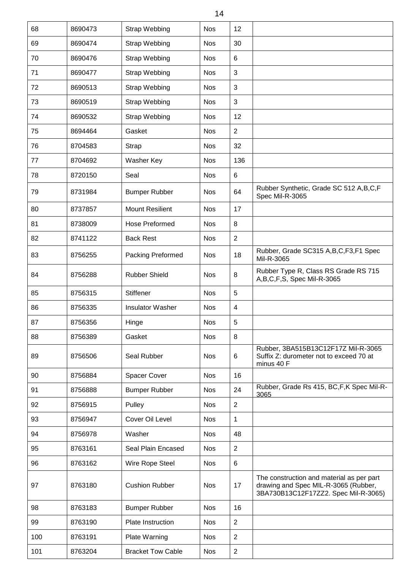| 68  | 8690473 | <b>Strap Webbing</b>     | <b>Nos</b> | 12             |                                                                                                                           |
|-----|---------|--------------------------|------------|----------------|---------------------------------------------------------------------------------------------------------------------------|
| 69  | 8690474 | <b>Strap Webbing</b>     | <b>Nos</b> | 30             |                                                                                                                           |
| 70  | 8690476 | <b>Strap Webbing</b>     | <b>Nos</b> | 6              |                                                                                                                           |
| 71  | 8690477 | <b>Strap Webbing</b>     | <b>Nos</b> | 3              |                                                                                                                           |
| 72  | 8690513 | <b>Strap Webbing</b>     | <b>Nos</b> | $\mathbf{3}$   |                                                                                                                           |
| 73  | 8690519 | <b>Strap Webbing</b>     | <b>Nos</b> | $\mathbf{3}$   |                                                                                                                           |
| 74  | 8690532 | <b>Strap Webbing</b>     | <b>Nos</b> | 12             |                                                                                                                           |
| 75  | 8694464 | Gasket                   | <b>Nos</b> | $\overline{2}$ |                                                                                                                           |
| 76  | 8704583 | <b>Strap</b>             | <b>Nos</b> | 32             |                                                                                                                           |
| 77  | 8704692 | Washer Key               | <b>Nos</b> | 136            |                                                                                                                           |
| 78  | 8720150 | Seal                     | <b>Nos</b> | $\,6$          |                                                                                                                           |
| 79  | 8731984 | <b>Bumper Rubber</b>     | <b>Nos</b> | 64             | Rubber Synthetic, Grade SC 512 A, B, C, F<br>Spec Mil-R-3065                                                              |
| 80  | 8737857 | <b>Mount Resilient</b>   | <b>Nos</b> | 17             |                                                                                                                           |
| 81  | 8738009 | <b>Hose Preformed</b>    | <b>Nos</b> | 8              |                                                                                                                           |
| 82  | 8741122 | <b>Back Rest</b>         | <b>Nos</b> | 2              |                                                                                                                           |
| 83  | 8756255 | Packing Preformed        | <b>Nos</b> | 18             | Rubber, Grade SC315 A, B, C, F3, F1 Spec<br>Mil-R-3065                                                                    |
| 84  | 8756288 | <b>Rubber Shield</b>     | <b>Nos</b> | 8              | Rubber Type R, Class RS Grade RS 715<br>A,B,C,F,S, Spec Mil-R-3065                                                        |
| 85  | 8756315 | <b>Stiffener</b>         | <b>Nos</b> | 5              |                                                                                                                           |
| 86  | 8756335 | <b>Insulator Washer</b>  | <b>Nos</b> | 4              |                                                                                                                           |
| 87  | 8756356 | Hinge                    | Nos        | 5              |                                                                                                                           |
| 88  | 8756389 | Gasket                   | <b>Nos</b> | 8              |                                                                                                                           |
| 89  | 8756506 | Seal Rubber              | <b>Nos</b> | 6              | Rubber, 3BA515B13C12F17Z Mil-R-3065<br>Suffix Z: durometer not to exceed 70 at<br>minus 40 F                              |
| 90  | 8756884 | <b>Spacer Cover</b>      | <b>Nos</b> | 16             |                                                                                                                           |
| 91  | 8756888 | <b>Bumper Rubber</b>     | <b>Nos</b> | 24             | Rubber, Grade Rs 415, BC, F, K Spec Mil-R-<br>3065                                                                        |
| 92  | 8756915 | Pulley                   | <b>Nos</b> | 2              |                                                                                                                           |
| 93  | 8756947 | Cover Oil Level          | <b>Nos</b> | 1              |                                                                                                                           |
| 94  | 8756978 | Washer                   | <b>Nos</b> | 48             |                                                                                                                           |
| 95  | 8763161 | Seal Plain Encased       | <b>Nos</b> | $\overline{2}$ |                                                                                                                           |
| 96  | 8763162 | Wire Rope Steel          | <b>Nos</b> | $\,6$          |                                                                                                                           |
| 97  | 8763180 | <b>Cushion Rubber</b>    | <b>Nos</b> | 17             | The construction and material as per part<br>drawing and Spec MIL-R-3065 (Rubber,<br>3BA730B13C12F17ZZ2. Spec Mil-R-3065) |
| 98  | 8763183 | <b>Bumper Rubber</b>     | <b>Nos</b> | 16             |                                                                                                                           |
| 99  | 8763190 | Plate Instruction        | <b>Nos</b> | $\overline{2}$ |                                                                                                                           |
| 100 | 8763191 | <b>Plate Warning</b>     | <b>Nos</b> | $\overline{2}$ |                                                                                                                           |
| 101 | 8763204 | <b>Bracket Tow Cable</b> | <b>Nos</b> | $\sqrt{2}$     |                                                                                                                           |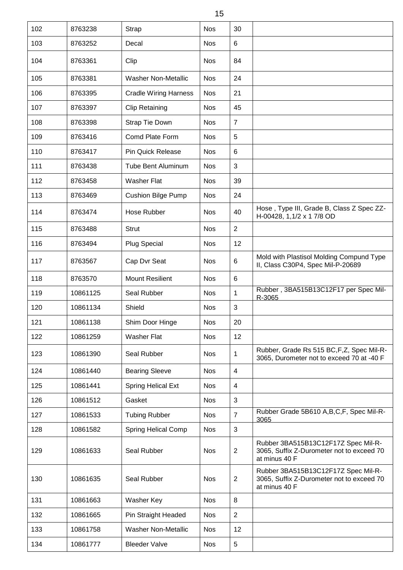| 102 | 8763238  | Strap                        | <b>Nos</b> | 30             |                                                                                                   |
|-----|----------|------------------------------|------------|----------------|---------------------------------------------------------------------------------------------------|
| 103 | 8763252  | Decal                        | <b>Nos</b> | $\,6$          |                                                                                                   |
| 104 | 8763361  | Clip                         | <b>Nos</b> | 84             |                                                                                                   |
| 105 | 8763381  | <b>Washer Non-Metallic</b>   | <b>Nos</b> | 24             |                                                                                                   |
| 106 | 8763395  | <b>Cradle Wiring Harness</b> | <b>Nos</b> | 21             |                                                                                                   |
| 107 | 8763397  | <b>Clip Retaining</b>        | <b>Nos</b> | 45             |                                                                                                   |
| 108 | 8763398  | Strap Tie Down               | <b>Nos</b> | $\overline{7}$ |                                                                                                   |
| 109 | 8763416  | Comd Plate Form              | <b>Nos</b> | 5              |                                                                                                   |
| 110 | 8763417  | <b>Pin Quick Release</b>     | <b>Nos</b> | 6              |                                                                                                   |
| 111 | 8763438  | <b>Tube Bent Aluminum</b>    | <b>Nos</b> | 3              |                                                                                                   |
| 112 | 8763458  | <b>Washer Flat</b>           | <b>Nos</b> | 39             |                                                                                                   |
| 113 | 8763469  | <b>Cushion Bilge Pump</b>    | <b>Nos</b> | 24             |                                                                                                   |
| 114 | 8763474  | Hose Rubber                  | <b>Nos</b> | 40             | Hose, Type III, Grade B, Class Z Spec ZZ-<br>H-00428, 1,1/2 x 1 7/8 OD                            |
| 115 | 8763488  | <b>Strut</b>                 | <b>Nos</b> | $\overline{2}$ |                                                                                                   |
| 116 | 8763494  | <b>Plug Special</b>          | <b>Nos</b> | 12             |                                                                                                   |
| 117 | 8763567  | Cap Dvr Seat                 | <b>Nos</b> | 6              | Mold with Plastisol Molding Compund Type<br>II, Class C30P4, Spec Mil-P-20689                     |
| 118 | 8763570  | <b>Mount Resilient</b>       | <b>Nos</b> | 6              |                                                                                                   |
| 119 | 10861125 | Seal Rubber                  | <b>Nos</b> | 1              | Rubber, 3BA515B13C12F17 per Spec Mil-<br>R-3065                                                   |
| 120 | 10861134 | Shield                       | <b>Nos</b> | 3              |                                                                                                   |
| 121 | 10861138 | Shim Door Hinge              | <b>Nos</b> | 20             |                                                                                                   |
| 122 | 10861259 | <b>Washer Flat</b>           | <b>Nos</b> | 12             |                                                                                                   |
| 123 | 10861390 | Seal Rubber                  | <b>Nos</b> | 1              | Rubber, Grade Rs 515 BC, F, Z, Spec Mil-R-<br>3065, Durometer not to exceed 70 at -40 F           |
| 124 | 10861440 | <b>Bearing Sleeve</b>        | <b>Nos</b> | $\overline{4}$ |                                                                                                   |
| 125 | 10861441 | <b>Spring Helical Ext</b>    | <b>Nos</b> | $\overline{4}$ |                                                                                                   |
| 126 | 10861512 | Gasket                       | <b>Nos</b> | 3              |                                                                                                   |
| 127 | 10861533 | <b>Tubing Rubber</b>         | <b>Nos</b> | $\overline{7}$ | Rubber Grade 5B610 A, B, C, F, Spec Mil-R-<br>3065                                                |
| 128 | 10861582 | <b>Spring Helical Comp</b>   | <b>Nos</b> | $\mathfrak{S}$ |                                                                                                   |
| 129 | 10861633 | Seal Rubber                  | <b>Nos</b> | $\overline{2}$ | Rubber 3BA515B13C12F17Z Spec Mil-R-<br>3065, Suffix Z-Durometer not to exceed 70<br>at minus 40 F |
| 130 | 10861635 | Seal Rubber                  | <b>Nos</b> | 2              | Rubber 3BA515B13C12F17Z Spec Mil-R-<br>3065, Suffix Z-Durometer not to exceed 70<br>at minus 40 F |
| 131 | 10861663 | Washer Key                   | <b>Nos</b> | 8              |                                                                                                   |
| 132 | 10861665 | Pin Straight Headed          | <b>Nos</b> | $\overline{2}$ |                                                                                                   |
| 133 | 10861758 | <b>Washer Non-Metallic</b>   | <b>Nos</b> | 12             |                                                                                                   |
| 134 | 10861777 | <b>Bleeder Valve</b>         | <b>Nos</b> | 5              |                                                                                                   |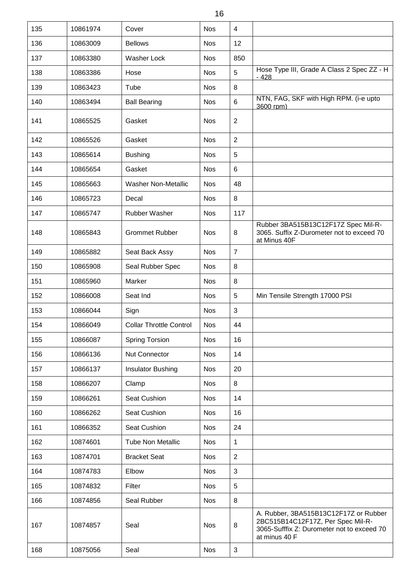| 16  |          |                                |            |                |                                                                                                                                           |  |  |  |
|-----|----------|--------------------------------|------------|----------------|-------------------------------------------------------------------------------------------------------------------------------------------|--|--|--|
| 135 | 10861974 | Cover                          | <b>Nos</b> | $\overline{4}$ |                                                                                                                                           |  |  |  |
| 136 | 10863009 | <b>Bellows</b>                 | <b>Nos</b> | 12             |                                                                                                                                           |  |  |  |
| 137 | 10863380 | <b>Washer Lock</b>             | <b>Nos</b> | 850            |                                                                                                                                           |  |  |  |
| 138 | 10863386 | Hose                           | <b>Nos</b> | $\overline{5}$ | Hose Type III, Grade A Class 2 Spec ZZ - H<br>- 428                                                                                       |  |  |  |
| 139 | 10863423 | Tube                           | <b>Nos</b> | 8              |                                                                                                                                           |  |  |  |
| 140 | 10863494 | <b>Ball Bearing</b>            | <b>Nos</b> | 6              | NTN, FAG, SKF with High RPM. (i-e upto<br>3600 rpm)                                                                                       |  |  |  |
| 141 | 10865525 | Gasket                         | <b>Nos</b> | $\overline{2}$ |                                                                                                                                           |  |  |  |
| 142 | 10865526 | Gasket                         | <b>Nos</b> | $\overline{2}$ |                                                                                                                                           |  |  |  |
| 143 | 10865614 | <b>Bushing</b>                 | <b>Nos</b> | $\overline{5}$ |                                                                                                                                           |  |  |  |
| 144 | 10865654 | Gasket                         | <b>Nos</b> | 6              |                                                                                                                                           |  |  |  |
| 145 | 10865663 | <b>Washer Non-Metallic</b>     | <b>Nos</b> | 48             |                                                                                                                                           |  |  |  |
| 146 | 10865723 | Decal                          | <b>Nos</b> | 8              |                                                                                                                                           |  |  |  |
| 147 | 10865747 | Rubber Washer                  | <b>Nos</b> | 117            |                                                                                                                                           |  |  |  |
| 148 | 10865843 | <b>Grommet Rubber</b>          | <b>Nos</b> | 8              | Rubber 3BA515B13C12F17Z Spec Mil-R-<br>3065. Suffix Z-Durometer not to exceed 70<br>at Minus 40F                                          |  |  |  |
| 149 | 10865882 | Seat Back Assy                 | <b>Nos</b> | $\overline{7}$ |                                                                                                                                           |  |  |  |
| 150 | 10865908 | Seal Rubber Spec               | <b>Nos</b> | 8              |                                                                                                                                           |  |  |  |
| 151 | 10865960 | Marker                         | <b>Nos</b> | 8              |                                                                                                                                           |  |  |  |
| 152 | 10866008 | Seat Ind                       | <b>Nos</b> | $\overline{5}$ | Min Tensile Strength 17000 PSI                                                                                                            |  |  |  |
| 153 | 10866044 | Sign                           | <b>Nos</b> | $\sqrt{3}$     |                                                                                                                                           |  |  |  |
| 154 | 10866049 | <b>Collar Throttle Control</b> | <b>Nos</b> | 44             |                                                                                                                                           |  |  |  |
| 155 | 10866087 | <b>Spring Torsion</b>          | <b>Nos</b> | 16             |                                                                                                                                           |  |  |  |
| 156 | 10866136 | Nut Connector                  | <b>Nos</b> | 14             |                                                                                                                                           |  |  |  |
| 157 | 10866137 | Insulator Bushing              | <b>Nos</b> | 20             |                                                                                                                                           |  |  |  |
| 158 | 10866207 | Clamp                          | <b>Nos</b> | 8              |                                                                                                                                           |  |  |  |
| 159 | 10866261 | Seat Cushion                   | <b>Nos</b> | 14             |                                                                                                                                           |  |  |  |
| 160 | 10866262 | Seat Cushion                   | <b>Nos</b> | 16             |                                                                                                                                           |  |  |  |
| 161 | 10866352 | Seat Cushion                   | <b>Nos</b> | 24             |                                                                                                                                           |  |  |  |
| 162 | 10874601 | <b>Tube Non Metallic</b>       | <b>Nos</b> | $\mathbf 1$    |                                                                                                                                           |  |  |  |
| 163 | 10874701 | <b>Bracket Seat</b>            | <b>Nos</b> | $\overline{2}$ |                                                                                                                                           |  |  |  |
| 164 | 10874783 | Elbow                          | <b>Nos</b> | 3              |                                                                                                                                           |  |  |  |
| 165 | 10874832 | Filter                         | <b>Nos</b> | $\overline{5}$ |                                                                                                                                           |  |  |  |
| 166 | 10874856 | Seal Rubber                    | <b>Nos</b> | 8              |                                                                                                                                           |  |  |  |
| 167 | 10874857 | Seal                           | <b>Nos</b> | 8              | A. Rubber, 3BA515B13C12F17Z or Rubber<br>2BC515B14C12F17Z, Per Spec Mil-R-<br>3065-Sufffix Z: Durometer not to exceed 70<br>at minus 40 F |  |  |  |
| 168 | 10875056 | Seal                           | <b>Nos</b> | $\sqrt{3}$     |                                                                                                                                           |  |  |  |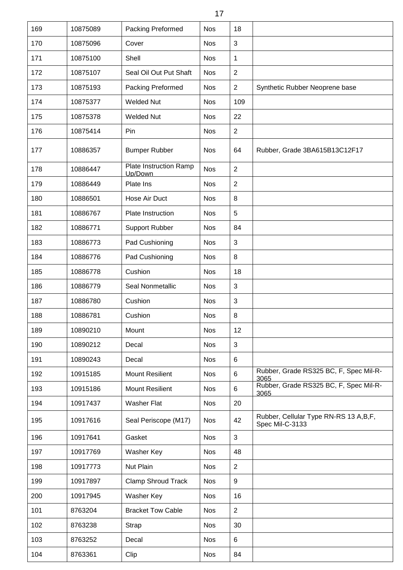| 169 | 10875089 | Packing Preformed                 | <b>Nos</b> | 18             |                                                            |
|-----|----------|-----------------------------------|------------|----------------|------------------------------------------------------------|
| 170 | 10875096 | Cover                             | <b>Nos</b> | 3              |                                                            |
| 171 | 10875100 | Shell                             | <b>Nos</b> | 1              |                                                            |
| 172 | 10875107 | Seal Oil Out Put Shaft            | <b>Nos</b> | $\overline{2}$ |                                                            |
| 173 | 10875193 | Packing Preformed                 | <b>Nos</b> | $\overline{2}$ | Synthetic Rubber Neoprene base                             |
| 174 | 10875377 | <b>Welded Nut</b>                 | <b>Nos</b> | 109            |                                                            |
| 175 | 10875378 | <b>Welded Nut</b>                 | <b>Nos</b> | 22             |                                                            |
| 176 | 10875414 | Pin                               | <b>Nos</b> | 2              |                                                            |
| 177 | 10886357 | <b>Bumper Rubber</b>              | <b>Nos</b> | 64             | Rubber, Grade 3BA615B13C12F17                              |
| 178 | 10886447 | Plate Instruction Ramp<br>Up/Down | <b>Nos</b> | $\overline{2}$ |                                                            |
| 179 | 10886449 | Plate Ins                         | <b>Nos</b> | $\overline{2}$ |                                                            |
| 180 | 10886501 | Hose Air Duct                     | <b>Nos</b> | 8              |                                                            |
| 181 | 10886767 | <b>Plate Instruction</b>          | <b>Nos</b> | 5              |                                                            |
| 182 | 10886771 | <b>Support Rubber</b>             | <b>Nos</b> | 84             |                                                            |
| 183 | 10886773 | Pad Cushioning                    | <b>Nos</b> | 3              |                                                            |
| 184 | 10886776 | Pad Cushioning                    | <b>Nos</b> | 8              |                                                            |
| 185 | 10886778 | Cushion                           | <b>Nos</b> | 18             |                                                            |
| 186 | 10886779 | Seal Nonmetallic                  | <b>Nos</b> | 3              |                                                            |
| 187 | 10886780 | Cushion                           | <b>Nos</b> | 3              |                                                            |
| 188 | 10886781 | Cushion                           | <b>Nos</b> | 8              |                                                            |
| 189 | 10890210 | Mount                             | <b>Nos</b> | 12             |                                                            |
| 190 | 10890212 | Decal                             | <b>Nos</b> | 3              |                                                            |
| 191 | 10890243 | Decal                             | <b>Nos</b> | 6              |                                                            |
| 192 | 10915185 | <b>Mount Resilient</b>            | <b>Nos</b> | 6              | Rubber, Grade RS325 BC, F, Spec Mil-R-<br>3065             |
| 193 | 10915186 | <b>Mount Resilient</b>            | <b>Nos</b> | 6              | Rubber, Grade RS325 BC, F, Spec Mil-R-<br>3065             |
| 194 | 10917437 | <b>Washer Flat</b>                | <b>Nos</b> | 20             |                                                            |
| 195 | 10917616 | Seal Periscope (M17)              | <b>Nos</b> | 42             | Rubber, Cellular Type RN-RS 13 A, B, F,<br>Spec Mil-C-3133 |
| 196 | 10917641 | Gasket                            | <b>Nos</b> | 3              |                                                            |
| 197 | 10917769 | Washer Key                        | <b>Nos</b> | 48             |                                                            |
| 198 | 10917773 | Nut Plain                         | <b>Nos</b> | $\overline{2}$ |                                                            |
| 199 | 10917897 | <b>Clamp Shroud Track</b>         | <b>Nos</b> | 9              |                                                            |
| 200 | 10917945 | Washer Key                        | <b>Nos</b> | 16             |                                                            |
| 101 | 8763204  | <b>Bracket Tow Cable</b>          | <b>Nos</b> | $\overline{2}$ |                                                            |
| 102 | 8763238  | Strap                             | <b>Nos</b> | 30             |                                                            |
| 103 | 8763252  | Decal                             | <b>Nos</b> | 6              |                                                            |
| 104 | 8763361  | Clip                              | <b>Nos</b> | 84             |                                                            |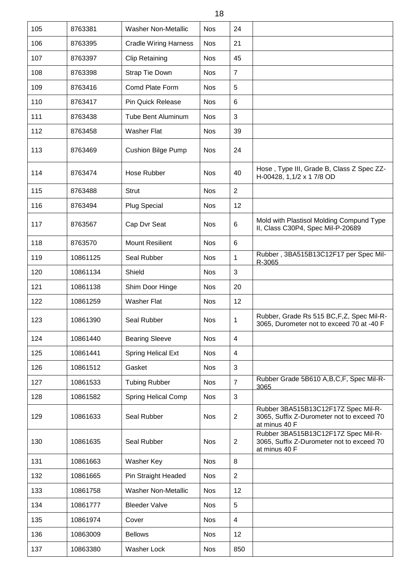| 105 | 8763381  | <b>Washer Non-Metallic</b>   | <b>Nos</b> | 24                      |                                                                                                   |
|-----|----------|------------------------------|------------|-------------------------|---------------------------------------------------------------------------------------------------|
| 106 | 8763395  | <b>Cradle Wiring Harness</b> | <b>Nos</b> | 21                      |                                                                                                   |
| 107 | 8763397  | <b>Clip Retaining</b>        | <b>Nos</b> | 45                      |                                                                                                   |
| 108 | 8763398  | Strap Tie Down               | <b>Nos</b> | $\overline{7}$          |                                                                                                   |
| 109 | 8763416  | Comd Plate Form              | <b>Nos</b> | 5                       |                                                                                                   |
| 110 | 8763417  | <b>Pin Quick Release</b>     | <b>Nos</b> | 6                       |                                                                                                   |
| 111 | 8763438  | <b>Tube Bent Aluminum</b>    | <b>Nos</b> | 3                       |                                                                                                   |
| 112 | 8763458  | <b>Washer Flat</b>           | <b>Nos</b> | 39                      |                                                                                                   |
| 113 | 8763469  | <b>Cushion Bilge Pump</b>    | <b>Nos</b> | 24                      |                                                                                                   |
| 114 | 8763474  | Hose Rubber                  | <b>Nos</b> | 40                      | Hose, Type III, Grade B, Class Z Spec ZZ-<br>H-00428, 1,1/2 x 1 7/8 OD                            |
| 115 | 8763488  | <b>Strut</b>                 | <b>Nos</b> | $\overline{2}$          |                                                                                                   |
| 116 | 8763494  | <b>Plug Special</b>          | <b>Nos</b> | 12                      |                                                                                                   |
| 117 | 8763567  | Cap Dvr Seat                 | <b>Nos</b> | 6                       | Mold with Plastisol Molding Compund Type<br>II, Class C30P4, Spec Mil-P-20689                     |
| 118 | 8763570  | <b>Mount Resilient</b>       | <b>Nos</b> | 6                       |                                                                                                   |
| 119 | 10861125 | Seal Rubber                  | <b>Nos</b> | 1                       | Rubber, 3BA515B13C12F17 per Spec Mil-<br>R-3065                                                   |
| 120 | 10861134 | Shield                       | <b>Nos</b> | 3                       |                                                                                                   |
| 121 | 10861138 | Shim Door Hinge              | <b>Nos</b> | 20                      |                                                                                                   |
| 122 | 10861259 | <b>Washer Flat</b>           | <b>Nos</b> | 12                      |                                                                                                   |
| 123 | 10861390 | Seal Rubber                  | <b>Nos</b> | 1                       | Rubber, Grade Rs 515 BC, F, Z, Spec Mil-R-<br>3065, Durometer not to exceed 70 at -40 F           |
| 124 | 10861440 | <b>Bearing Sleeve</b>        | <b>Nos</b> | $\overline{4}$          |                                                                                                   |
| 125 | 10861441 | <b>Spring Helical Ext</b>    | <b>Nos</b> | $\overline{\mathbf{4}}$ |                                                                                                   |
| 126 | 10861512 | Gasket                       | <b>Nos</b> | 3                       |                                                                                                   |
| 127 | 10861533 | <b>Tubing Rubber</b>         | <b>Nos</b> | $\overline{7}$          | Rubber Grade 5B610 A, B, C, F, Spec Mil-R-<br>3065                                                |
| 128 | 10861582 | <b>Spring Helical Comp</b>   | <b>Nos</b> | 3                       |                                                                                                   |
| 129 | 10861633 | Seal Rubber                  | <b>Nos</b> | $\overline{2}$          | Rubber 3BA515B13C12F17Z Spec Mil-R-<br>3065, Suffix Z-Durometer not to exceed 70<br>at minus 40 F |
| 130 | 10861635 | Seal Rubber                  | <b>Nos</b> | $\overline{2}$          | Rubber 3BA515B13C12F17Z Spec Mil-R-<br>3065, Suffix Z-Durometer not to exceed 70<br>at minus 40 F |
| 131 | 10861663 | Washer Key                   | <b>Nos</b> | 8                       |                                                                                                   |
| 132 | 10861665 | Pin Straight Headed          | <b>Nos</b> | $\overline{2}$          |                                                                                                   |
| 133 | 10861758 | <b>Washer Non-Metallic</b>   | <b>Nos</b> | 12                      |                                                                                                   |
| 134 | 10861777 | <b>Bleeder Valve</b>         | <b>Nos</b> | 5                       |                                                                                                   |
| 135 | 10861974 | Cover                        | <b>Nos</b> | $\overline{4}$          |                                                                                                   |
| 136 | 10863009 | <b>Bellows</b>               | <b>Nos</b> | 12                      |                                                                                                   |
| 137 | 10863380 | Washer Lock                  | <b>Nos</b> | 850                     |                                                                                                   |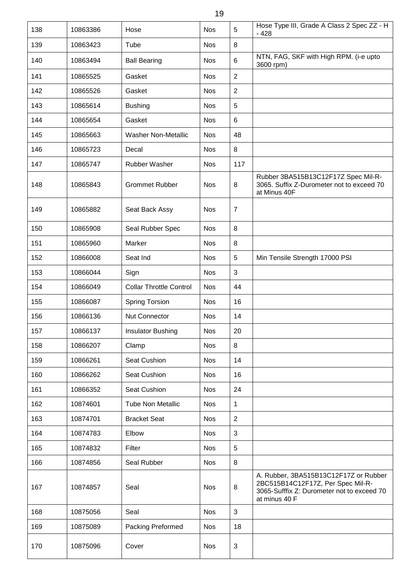| 138 | 10863386 | Hose                           | <b>Nos</b> | 5              | Hose Type III, Grade A Class 2 Spec ZZ - H<br>- 428                                                                                       |
|-----|----------|--------------------------------|------------|----------------|-------------------------------------------------------------------------------------------------------------------------------------------|
| 139 | 10863423 | Tube                           | <b>Nos</b> | 8              |                                                                                                                                           |
| 140 | 10863494 | <b>Ball Bearing</b>            | <b>Nos</b> | 6              | NTN, FAG, SKF with High RPM. (i-e upto<br>3600 rpm)                                                                                       |
| 141 | 10865525 | Gasket                         | <b>Nos</b> | $\overline{2}$ |                                                                                                                                           |
| 142 | 10865526 | Gasket                         | <b>Nos</b> | $\overline{2}$ |                                                                                                                                           |
| 143 | 10865614 | <b>Bushing</b>                 | <b>Nos</b> | 5              |                                                                                                                                           |
| 144 | 10865654 | Gasket                         | <b>Nos</b> | $\,6$          |                                                                                                                                           |
| 145 | 10865663 | <b>Washer Non-Metallic</b>     | <b>Nos</b> | 48             |                                                                                                                                           |
| 146 | 10865723 | Decal                          | <b>Nos</b> | 8              |                                                                                                                                           |
| 147 | 10865747 | <b>Rubber Washer</b>           | <b>Nos</b> | 117            |                                                                                                                                           |
| 148 | 10865843 | <b>Grommet Rubber</b>          | <b>Nos</b> | 8              | Rubber 3BA515B13C12F17Z Spec Mil-R-<br>3065. Suffix Z-Durometer not to exceed 70<br>at Minus 40F                                          |
| 149 | 10865882 | Seat Back Assy                 | <b>Nos</b> | $\overline{7}$ |                                                                                                                                           |
| 150 | 10865908 | Seal Rubber Spec               | <b>Nos</b> | 8              |                                                                                                                                           |
| 151 | 10865960 | Marker                         | <b>Nos</b> | 8              |                                                                                                                                           |
| 152 | 10866008 | Seat Ind                       | <b>Nos</b> | 5              | Min Tensile Strength 17000 PSI                                                                                                            |
| 153 | 10866044 | Sign                           | <b>Nos</b> | 3              |                                                                                                                                           |
| 154 | 10866049 | <b>Collar Throttle Control</b> | <b>Nos</b> | 44             |                                                                                                                                           |
| 155 | 10866087 | <b>Spring Torsion</b>          | <b>Nos</b> | 16             |                                                                                                                                           |
| 156 | 10866136 | <b>Nut Connector</b>           | <b>Nos</b> | 14             |                                                                                                                                           |
| 157 | 10866137 | <b>Insulator Bushing</b>       | <b>Nos</b> | 20             |                                                                                                                                           |
| 158 | 10866207 | Clamp                          | <b>Nos</b> | 8              |                                                                                                                                           |
| 159 | 10866261 | Seat Cushion                   | <b>Nos</b> | 14             |                                                                                                                                           |
| 160 | 10866262 | Seat Cushion                   | <b>Nos</b> | 16             |                                                                                                                                           |
| 161 | 10866352 | Seat Cushion                   | <b>Nos</b> | 24             |                                                                                                                                           |
| 162 | 10874601 | <b>Tube Non Metallic</b>       | <b>Nos</b> | 1              |                                                                                                                                           |
| 163 | 10874701 | <b>Bracket Seat</b>            | <b>Nos</b> | $\overline{2}$ |                                                                                                                                           |
| 164 | 10874783 | Elbow                          | <b>Nos</b> | 3              |                                                                                                                                           |
| 165 | 10874832 | Filter                         | <b>Nos</b> | 5              |                                                                                                                                           |
| 166 | 10874856 | Seal Rubber                    | <b>Nos</b> | 8              |                                                                                                                                           |
| 167 | 10874857 | Seal                           | <b>Nos</b> | 8              | A. Rubber, 3BA515B13C12F17Z or Rubber<br>2BC515B14C12F17Z, Per Spec Mil-R-<br>3065-Sufffix Z: Durometer not to exceed 70<br>at minus 40 F |
| 168 | 10875056 | Seal                           | <b>Nos</b> | 3              |                                                                                                                                           |
| 169 | 10875089 | Packing Preformed              | <b>Nos</b> | 18             |                                                                                                                                           |
| 170 | 10875096 | Cover                          | <b>Nos</b> | $\sqrt{3}$     |                                                                                                                                           |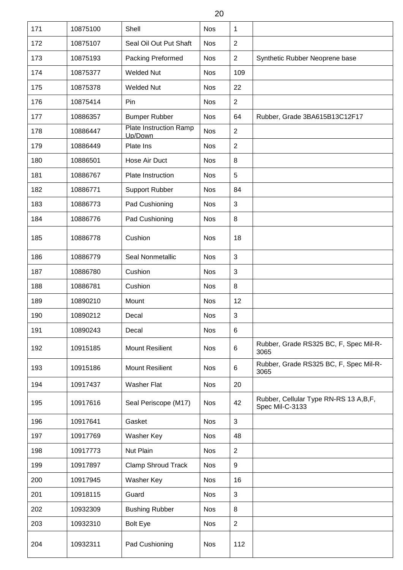| 20  |          |                                          |            |                |                                                            |  |  |  |
|-----|----------|------------------------------------------|------------|----------------|------------------------------------------------------------|--|--|--|
| 171 | 10875100 | Shell                                    | <b>Nos</b> | 1              |                                                            |  |  |  |
| 172 | 10875107 | Seal Oil Out Put Shaft                   | <b>Nos</b> | $\overline{2}$ |                                                            |  |  |  |
| 173 | 10875193 | Packing Preformed                        | <b>Nos</b> | $\overline{2}$ | Synthetic Rubber Neoprene base                             |  |  |  |
| 174 | 10875377 | <b>Welded Nut</b>                        | <b>Nos</b> | 109            |                                                            |  |  |  |
| 175 | 10875378 | <b>Welded Nut</b>                        | <b>Nos</b> | 22             |                                                            |  |  |  |
| 176 | 10875414 | Pin                                      | <b>Nos</b> | $\overline{2}$ |                                                            |  |  |  |
| 177 | 10886357 | <b>Bumper Rubber</b>                     | <b>Nos</b> | 64             | Rubber, Grade 3BA615B13C12F17                              |  |  |  |
| 178 | 10886447 | <b>Plate Instruction Ramp</b><br>Up/Down | <b>Nos</b> | $\overline{2}$ |                                                            |  |  |  |
| 179 | 10886449 | Plate Ins                                | <b>Nos</b> | $\overline{2}$ |                                                            |  |  |  |
| 180 | 10886501 | Hose Air Duct                            | <b>Nos</b> | $\,8\,$        |                                                            |  |  |  |
| 181 | 10886767 | Plate Instruction                        | <b>Nos</b> | 5              |                                                            |  |  |  |
| 182 | 10886771 | <b>Support Rubber</b>                    | <b>Nos</b> | 84             |                                                            |  |  |  |
| 183 | 10886773 | Pad Cushioning                           | <b>Nos</b> | 3              |                                                            |  |  |  |
| 184 | 10886776 | Pad Cushioning                           | <b>Nos</b> | 8              |                                                            |  |  |  |
| 185 | 10886778 | Cushion                                  | <b>Nos</b> | 18             |                                                            |  |  |  |
| 186 | 10886779 | Seal Nonmetallic                         | <b>Nos</b> | 3              |                                                            |  |  |  |
| 187 | 10886780 | Cushion                                  | <b>Nos</b> | 3              |                                                            |  |  |  |
| 188 | 10886781 | Cushion                                  | <b>Nos</b> | 8              |                                                            |  |  |  |
| 189 | 10890210 | Mount                                    | <b>Nos</b> | 12             |                                                            |  |  |  |
| 190 | 10890212 | Decal                                    | <b>Nos</b> | $\sqrt{3}$     |                                                            |  |  |  |
| 191 | 10890243 | Decal                                    | <b>Nos</b> | 6              |                                                            |  |  |  |
| 192 | 10915185 | <b>Mount Resilient</b>                   | <b>Nos</b> | 6              | Rubber, Grade RS325 BC, F, Spec Mil-R-<br>3065             |  |  |  |
| 193 | 10915186 | <b>Mount Resilient</b>                   | <b>Nos</b> | 6              | Rubber, Grade RS325 BC, F, Spec Mil-R-<br>3065             |  |  |  |
| 194 | 10917437 | <b>Washer Flat</b>                       | <b>Nos</b> | 20             |                                                            |  |  |  |
| 195 | 10917616 | Seal Periscope (M17)                     | <b>Nos</b> | 42             | Rubber, Cellular Type RN-RS 13 A, B, F,<br>Spec Mil-C-3133 |  |  |  |
| 196 | 10917641 | Gasket                                   | <b>Nos</b> | $\mathfrak{S}$ |                                                            |  |  |  |
| 197 | 10917769 | Washer Key                               | <b>Nos</b> | 48             |                                                            |  |  |  |
| 198 | 10917773 | <b>Nut Plain</b>                         | <b>Nos</b> | $\overline{2}$ |                                                            |  |  |  |
| 199 | 10917897 | <b>Clamp Shroud Track</b>                | <b>Nos</b> | 9              |                                                            |  |  |  |
| 200 | 10917945 | Washer Key                               | <b>Nos</b> | 16             |                                                            |  |  |  |
| 201 | 10918115 | Guard                                    | <b>Nos</b> | $\mathfrak{S}$ |                                                            |  |  |  |
| 202 | 10932309 | <b>Bushing Rubber</b>                    | <b>Nos</b> | 8              |                                                            |  |  |  |
| 203 | 10932310 | <b>Bolt Eye</b>                          | <b>Nos</b> | $\sqrt{2}$     |                                                            |  |  |  |
| 204 | 10932311 | Pad Cushioning                           | <b>Nos</b> | 112            |                                                            |  |  |  |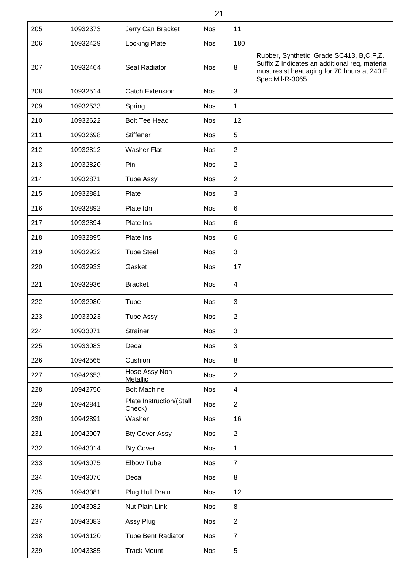| 205 | 10932373 | Jerry Can Bracket                  | <b>Nos</b> | 11              |                                                                                                                                                               |
|-----|----------|------------------------------------|------------|-----------------|---------------------------------------------------------------------------------------------------------------------------------------------------------------|
| 206 | 10932429 | <b>Locking Plate</b>               | <b>Nos</b> | 180             |                                                                                                                                                               |
| 207 | 10932464 | Seal Radiator                      | <b>Nos</b> | 8               | Rubber, Synthetic, Grade SC413, B,C,F,Z.<br>Suffix Z Indicates an additional req, material<br>must resist heat aging for 70 hours at 240 F<br>Spec Mil-R-3065 |
| 208 | 10932514 | <b>Catch Extension</b>             | <b>Nos</b> | $\mathfrak{S}$  |                                                                                                                                                               |
| 209 | 10932533 | Spring                             | <b>Nos</b> | 1               |                                                                                                                                                               |
| 210 | 10932622 | <b>Bolt Tee Head</b>               | <b>Nos</b> | 12              |                                                                                                                                                               |
| 211 | 10932698 | <b>Stiffener</b>                   | <b>Nos</b> | 5               |                                                                                                                                                               |
| 212 | 10932812 | <b>Washer Flat</b>                 | <b>Nos</b> | $\sqrt{2}$      |                                                                                                                                                               |
| 213 | 10932820 | Pin                                | <b>Nos</b> | $\overline{2}$  |                                                                                                                                                               |
| 214 | 10932871 | <b>Tube Assy</b>                   | <b>Nos</b> | $\overline{2}$  |                                                                                                                                                               |
| 215 | 10932881 | Plate                              | <b>Nos</b> | $\mathfrak{S}$  |                                                                                                                                                               |
| 216 | 10932892 | Plate Idn                          | <b>Nos</b> | $\,6$           |                                                                                                                                                               |
| 217 | 10932894 | Plate Ins                          | <b>Nos</b> | $6\phantom{1}6$ |                                                                                                                                                               |
| 218 | 10932895 | Plate Ins                          | <b>Nos</b> | $\,6$           |                                                                                                                                                               |
| 219 | 10932932 | <b>Tube Steel</b>                  | <b>Nos</b> | 3               |                                                                                                                                                               |
| 220 | 10932933 | Gasket                             | <b>Nos</b> | 17              |                                                                                                                                                               |
| 221 | 10932936 | <b>Bracket</b>                     | <b>Nos</b> | 4               |                                                                                                                                                               |
| 222 | 10932980 | Tube                               | <b>Nos</b> | $\mathfrak{S}$  |                                                                                                                                                               |
| 223 | 10933023 | <b>Tube Assy</b>                   | <b>Nos</b> | $\sqrt{2}$      |                                                                                                                                                               |
| 224 | 10933071 | <b>Strainer</b>                    | <b>Nos</b> | $\mathfrak{S}$  |                                                                                                                                                               |
| 225 | 10933083 | Decal                              | <b>Nos</b> | $\mathbf{3}$    |                                                                                                                                                               |
| 226 | 10942565 | Cushion                            | <b>Nos</b> | 8               |                                                                                                                                                               |
| 227 | 10942653 | Hose Assy Non-<br>Metallic         | <b>Nos</b> | $\overline{2}$  |                                                                                                                                                               |
| 228 | 10942750 | <b>Bolt Machine</b>                | <b>Nos</b> | $\overline{4}$  |                                                                                                                                                               |
| 229 | 10942841 | Plate Instruction/(Stall<br>Check) | <b>Nos</b> | $\overline{2}$  |                                                                                                                                                               |
| 230 | 10942891 | Washer                             | <b>Nos</b> | 16              |                                                                                                                                                               |
| 231 | 10942907 | <b>Bty Cover Assy</b>              | <b>Nos</b> | $\overline{2}$  |                                                                                                                                                               |
| 232 | 10943014 | <b>Bty Cover</b>                   | <b>Nos</b> | $\mathbf 1$     |                                                                                                                                                               |
| 233 | 10943075 | Elbow Tube                         | <b>Nos</b> | $\overline{7}$  |                                                                                                                                                               |
| 234 | 10943076 | Decal                              | <b>Nos</b> | 8               |                                                                                                                                                               |
| 235 | 10943081 | Plug Hull Drain                    | <b>Nos</b> | 12              |                                                                                                                                                               |
| 236 | 10943082 | Nut Plain Link                     | <b>Nos</b> | 8               |                                                                                                                                                               |
| 237 | 10943083 | Assy Plug                          | <b>Nos</b> | $\overline{2}$  |                                                                                                                                                               |
| 238 | 10943120 | <b>Tube Bent Radiator</b>          | <b>Nos</b> | $\overline{7}$  |                                                                                                                                                               |
| 239 | 10943385 | <b>Track Mount</b>                 | <b>Nos</b> | $\sqrt{5}$      |                                                                                                                                                               |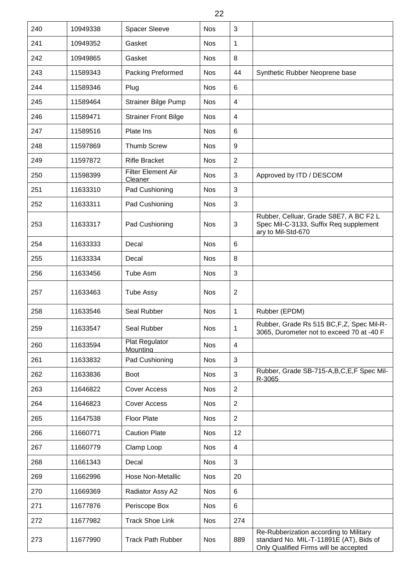| 240 | 10949338 | <b>Spacer Sleeve</b>          | <b>Nos</b> | 3                |                                                                                                                            |
|-----|----------|-------------------------------|------------|------------------|----------------------------------------------------------------------------------------------------------------------------|
| 241 | 10949352 | Gasket                        | <b>Nos</b> | $\mathbf{1}$     |                                                                                                                            |
| 242 | 10949865 | Gasket                        | <b>Nos</b> | 8                |                                                                                                                            |
| 243 | 11589343 | Packing Preformed             | <b>Nos</b> | 44               | Synthetic Rubber Neoprene base                                                                                             |
| 244 | 11589346 | Plug                          | <b>Nos</b> | $6\phantom{1}6$  |                                                                                                                            |
| 245 | 11589464 | <b>Strainer Bilge Pump</b>    | <b>Nos</b> | $\overline{4}$   |                                                                                                                            |
| 246 | 11589471 | <b>Strainer Front Bilge</b>   | <b>Nos</b> | 4                |                                                                                                                            |
| 247 | 11589516 | Plate Ins                     | <b>Nos</b> | $6\phantom{1}6$  |                                                                                                                            |
| 248 | 11597869 | <b>Thumb Screw</b>            | <b>Nos</b> | $\boldsymbol{9}$ |                                                                                                                            |
| 249 | 11597872 | <b>Rifle Bracket</b>          | <b>Nos</b> | $\sqrt{2}$       |                                                                                                                            |
| 250 | 11598399 | Filter Element Air<br>Cleaner | <b>Nos</b> | $\sqrt{3}$       | Approved by ITD / DESCOM                                                                                                   |
| 251 | 11633310 | Pad Cushioning                | <b>Nos</b> | $\sqrt{3}$       |                                                                                                                            |
| 252 | 11633311 | Pad Cushioning                | <b>Nos</b> | $\mathfrak{B}$   |                                                                                                                            |
| 253 | 11633317 | Pad Cushioning                | <b>Nos</b> | 3                | Rubber, Celluar, Grade S8E7, A BC F2 L<br>Spec Mil-C-3133, Suffix Req supplement<br>ary to Mil-Std-670                     |
| 254 | 11633333 | Decal                         | <b>Nos</b> | $6\phantom{1}6$  |                                                                                                                            |
| 255 | 11633334 | Decal                         | <b>Nos</b> | 8                |                                                                                                                            |
| 256 | 11633456 | Tube Asm                      | <b>Nos</b> | 3                |                                                                                                                            |
| 257 | 11633463 | <b>Tube Assy</b>              | <b>Nos</b> | $\overline{2}$   |                                                                                                                            |
| 258 | 11633546 | Seal Rubber                   | <b>Nos</b> | $\mathbf{1}$     | Rubber (EPDM)                                                                                                              |
| 259 | 11633547 | Seal Rubber                   | <b>Nos</b> | $\mathbf 1$      | Rubber, Grade Rs 515 BC, F, Z, Spec Mil-R-<br>3065, Durometer not to exceed 70 at -40 F                                    |
| 260 | 11633594 | Plat Regulator<br>Mounting    | <b>Nos</b> | $\overline{4}$   |                                                                                                                            |
| 261 | 11633832 | Pad Cushioning                | <b>Nos</b> | $\mathfrak{B}$   |                                                                                                                            |
| 262 | 11633836 | <b>Boot</b>                   | <b>Nos</b> | $\mathfrak{S}$   | Rubber, Grade SB-715-A, B, C, E, F Spec Mil-<br>R-3065                                                                     |
| 263 | 11646822 | <b>Cover Access</b>           | <b>Nos</b> | $\overline{2}$   |                                                                                                                            |
| 264 | 11646823 | <b>Cover Access</b>           | <b>Nos</b> | $\overline{2}$   |                                                                                                                            |
| 265 | 11647538 | <b>Floor Plate</b>            | <b>Nos</b> | $\overline{2}$   |                                                                                                                            |
| 266 | 11660771 | <b>Caution Plate</b>          | <b>Nos</b> | 12               |                                                                                                                            |
| 267 | 11660779 | Clamp Loop                    | <b>Nos</b> | $\overline{4}$   |                                                                                                                            |
| 268 | 11661343 | Decal                         | <b>Nos</b> | $\sqrt{3}$       |                                                                                                                            |
| 269 | 11662996 | <b>Hose Non-Metallic</b>      | <b>Nos</b> | 20               |                                                                                                                            |
| 270 | 11669369 | Radiator Assy A2              | <b>Nos</b> | 6                |                                                                                                                            |
| 271 | 11677876 | Periscope Box                 | <b>Nos</b> | 6                |                                                                                                                            |
| 272 | 11677982 | <b>Track Shoe Link</b>        | <b>Nos</b> | 274              |                                                                                                                            |
| 273 | 11677990 | <b>Track Path Rubber</b>      | <b>Nos</b> | 889              | Re-Rubberization according to Military<br>standard No. MIL-T-11891E (AT), Bids of<br>Only Qualified Firms will be accepted |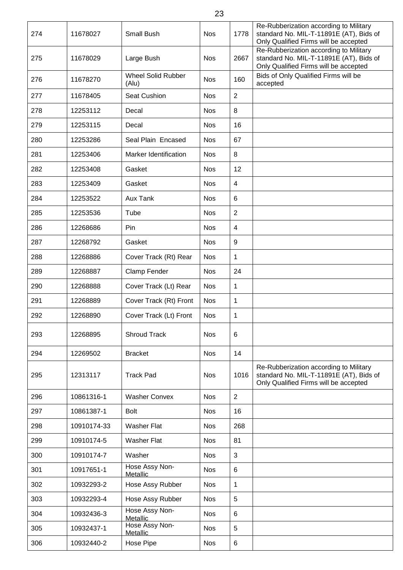| 274 | 11678027    | Small Bush                         | <b>Nos</b> | 1778           | Re-Rubberization according to Military<br>standard No. MIL-T-11891E (AT), Bids of<br>Only Qualified Firms will be accepted |
|-----|-------------|------------------------------------|------------|----------------|----------------------------------------------------------------------------------------------------------------------------|
| 275 | 11678029    | Large Bush                         | <b>Nos</b> | 2667           | Re-Rubberization according to Military<br>standard No. MIL-T-11891E (AT), Bids of<br>Only Qualified Firms will be accepted |
| 276 | 11678270    | <b>Wheel Solid Rubber</b><br>(Alu) | <b>Nos</b> | 160            | Bids of Only Qualified Firms will be<br>accepted                                                                           |
| 277 | 11678405    | Seat Cushion                       | <b>Nos</b> | $\overline{2}$ |                                                                                                                            |
| 278 | 12253112    | Decal                              | <b>Nos</b> | 8              |                                                                                                                            |
| 279 | 12253115    | Decal                              | <b>Nos</b> | 16             |                                                                                                                            |
| 280 | 12253286    | Seal Plain Encased                 | <b>Nos</b> | 67             |                                                                                                                            |
| 281 | 12253406    | Marker Identification              | <b>Nos</b> | 8              |                                                                                                                            |
| 282 | 12253408    | Gasket                             | <b>Nos</b> | 12             |                                                                                                                            |
| 283 | 12253409    | Gasket                             | <b>Nos</b> | 4              |                                                                                                                            |
| 284 | 12253522    | <b>Aux Tank</b>                    | <b>Nos</b> | 6              |                                                                                                                            |
| 285 | 12253536    | Tube                               | <b>Nos</b> | $\overline{2}$ |                                                                                                                            |
| 286 | 12268686    | Pin                                | <b>Nos</b> | $\overline{4}$ |                                                                                                                            |
| 287 | 12268792    | Gasket                             | <b>Nos</b> | 9              |                                                                                                                            |
| 288 | 12268886    | Cover Track (Rt) Rear              | <b>Nos</b> | 1              |                                                                                                                            |
| 289 | 12268887    | Clamp Fender                       | <b>Nos</b> | 24             |                                                                                                                            |
| 290 | 12268888    | Cover Track (Lt) Rear              | <b>Nos</b> | 1              |                                                                                                                            |
| 291 | 12268889    | Cover Track (Rt) Front             | <b>Nos</b> | 1              |                                                                                                                            |
| 292 | 12268890    | Cover Track (Lt) Front             | <b>Nos</b> | 1              |                                                                                                                            |
| 293 | 12268895    | <b>Shroud Track</b>                | <b>Nos</b> | 6              |                                                                                                                            |
| 294 | 12269502    | <b>Bracket</b>                     | <b>Nos</b> | 14             |                                                                                                                            |
| 295 | 12313117    | <b>Track Pad</b>                   | <b>Nos</b> | 1016           | Re-Rubberization according to Military<br>standard No. MIL-T-11891E (AT), Bids of<br>Only Qualified Firms will be accepted |
| 296 | 10861316-1  | <b>Washer Convex</b>               | <b>Nos</b> | $\overline{2}$ |                                                                                                                            |
| 297 | 10861387-1  | <b>Bolt</b>                        | <b>Nos</b> | 16             |                                                                                                                            |
| 298 | 10910174-33 | <b>Washer Flat</b>                 | <b>Nos</b> | 268            |                                                                                                                            |
| 299 | 10910174-5  | <b>Washer Flat</b>                 | <b>Nos</b> | 81             |                                                                                                                            |
| 300 | 10910174-7  | Washer                             | <b>Nos</b> | 3              |                                                                                                                            |
| 301 | 10917651-1  | Hose Assy Non-<br>Metallic         | <b>Nos</b> | 6              |                                                                                                                            |
| 302 | 10932293-2  | Hose Assy Rubber                   | <b>Nos</b> | 1              |                                                                                                                            |
| 303 | 10932293-4  | Hose Assy Rubber                   | <b>Nos</b> | 5              |                                                                                                                            |
| 304 | 10932436-3  | Hose Assy Non-<br>Metallic         | <b>Nos</b> | 6              |                                                                                                                            |
| 305 | 10932437-1  | Hose Assy Non-<br>Metallic         | <b>Nos</b> | 5              |                                                                                                                            |
| 306 | 10932440-2  | Hose Pipe                          | <b>Nos</b> | 6              |                                                                                                                            |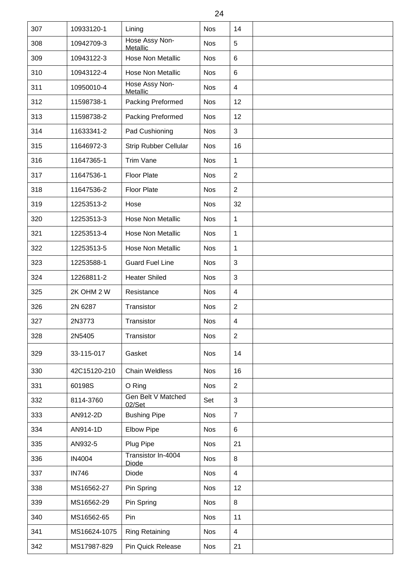| 307 | 10933120-1    | Lining                             | <b>Nos</b> | 14             |  |
|-----|---------------|------------------------------------|------------|----------------|--|
| 308 | 10942709-3    | Hose Assy Non-<br>Metallic         | <b>Nos</b> | 5              |  |
| 309 | 10943122-3    | Hose Non Metallic                  | <b>Nos</b> | $\,6$          |  |
| 310 | 10943122-4    | Hose Non Metallic                  | <b>Nos</b> | 6              |  |
| 311 | 10950010-4    | Hose Assy Non-<br>Metallic         | <b>Nos</b> | $\overline{4}$ |  |
| 312 | 11598738-1    | Packing Preformed                  | <b>Nos</b> | 12             |  |
| 313 | 11598738-2    | Packing Preformed                  | <b>Nos</b> | 12             |  |
| 314 | 11633341-2    | Pad Cushioning                     | <b>Nos</b> | 3              |  |
| 315 | 11646972-3    | <b>Strip Rubber Cellular</b>       | <b>Nos</b> | 16             |  |
| 316 | 11647365-1    | Trim Vane                          | <b>Nos</b> | 1              |  |
| 317 | 11647536-1    | <b>Floor Plate</b>                 | <b>Nos</b> | $\overline{2}$ |  |
| 318 | 11647536-2    | Floor Plate                        | <b>Nos</b> | $\overline{2}$ |  |
| 319 | 12253513-2    | Hose                               | <b>Nos</b> | 32             |  |
| 320 | 12253513-3    | Hose Non Metallic                  | <b>Nos</b> | 1              |  |
| 321 | 12253513-4    | Hose Non Metallic                  | <b>Nos</b> | 1              |  |
| 322 | 12253513-5    | <b>Hose Non Metallic</b>           | <b>Nos</b> | 1              |  |
| 323 | 12253588-1    | <b>Guard Fuel Line</b>             | <b>Nos</b> | 3              |  |
| 324 | 12268811-2    | <b>Heater Shiled</b>               | <b>Nos</b> | $\mathbf{3}$   |  |
| 325 | 2K OHM 2 W    | Resistance                         | <b>Nos</b> | $\overline{4}$ |  |
| 326 | 2N 6287       | Transistor                         | <b>Nos</b> | $\overline{2}$ |  |
| 327 | 2N3773        | Transistor                         | <b>Nos</b> | $\overline{4}$ |  |
| 328 | 2N5405        | Transistor                         | <b>Nos</b> | $\overline{2}$ |  |
| 329 | 33-115-017    | Gasket                             | <b>Nos</b> | 14             |  |
| 330 | 42C15120-210  | <b>Chain Weldless</b>              | <b>Nos</b> | 16             |  |
| 331 | 60198S        | O Ring                             | <b>Nos</b> | $\overline{2}$ |  |
| 332 | 8114-3760     | Gen Belt V Matched<br>02/Set       | Set        | 3              |  |
| 333 | AN912-2D      | <b>Bushing Pipe</b>                | <b>Nos</b> | $\overline{7}$ |  |
| 334 | AN914-1D      | <b>Elbow Pipe</b>                  | <b>Nos</b> | 6              |  |
| 335 | AN932-5       | Plug Pipe                          | <b>Nos</b> | 21             |  |
| 336 | <b>IN4004</b> | Transistor In-4004<br><b>Diode</b> | <b>Nos</b> | 8              |  |
| 337 | <b>IN746</b>  | Diode                              | <b>Nos</b> | $\overline{4}$ |  |
| 338 | MS16562-27    | Pin Spring                         | <b>Nos</b> | 12             |  |
| 339 | MS16562-29    | Pin Spring                         | <b>Nos</b> | 8              |  |
| 340 | MS16562-65    | Pin                                | <b>Nos</b> | 11             |  |
| 341 | MS16624-1075  | <b>Ring Retaining</b>              | <b>Nos</b> | $\overline{4}$ |  |
| 342 | MS17987-829   | <b>Pin Quick Release</b>           | <b>Nos</b> | 21             |  |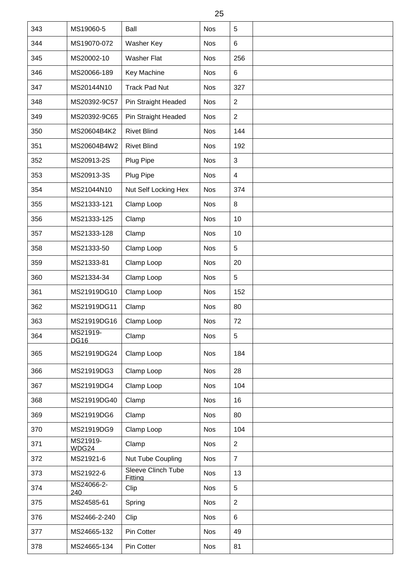| 25  |                         |                                      |            |                |  |  |  |
|-----|-------------------------|--------------------------------------|------------|----------------|--|--|--|
| 343 | MS19060-5               | Ball                                 | <b>Nos</b> | 5              |  |  |  |
| 344 | MS19070-072             | Washer Key                           | <b>Nos</b> | 6              |  |  |  |
| 345 | MS20002-10              | <b>Washer Flat</b>                   | <b>Nos</b> | 256            |  |  |  |
| 346 | MS20066-189             | Key Machine                          | <b>Nos</b> | 6              |  |  |  |
| 347 | MS20144N10              | <b>Track Pad Nut</b>                 | <b>Nos</b> | 327            |  |  |  |
| 348 | MS20392-9C57            | Pin Straight Headed                  | <b>Nos</b> | $\overline{2}$ |  |  |  |
| 349 | MS20392-9C65            | Pin Straight Headed                  | <b>Nos</b> | $\overline{2}$ |  |  |  |
| 350 | MS20604B4K2             | <b>Rivet Blind</b>                   | <b>Nos</b> | 144            |  |  |  |
| 351 | MS20604B4W2             | <b>Rivet Blind</b>                   | <b>Nos</b> | 192            |  |  |  |
| 352 | MS20913-2S              | Plug Pipe                            | <b>Nos</b> | 3              |  |  |  |
| 353 | MS20913-3S              | Plug Pipe                            | <b>Nos</b> | $\overline{4}$ |  |  |  |
| 354 | MS21044N10              | Nut Self Locking Hex                 | <b>Nos</b> | 374            |  |  |  |
| 355 | MS21333-121             | Clamp Loop                           | <b>Nos</b> | 8              |  |  |  |
| 356 | MS21333-125             | Clamp                                | <b>Nos</b> | 10             |  |  |  |
| 357 | MS21333-128             | Clamp                                | <b>Nos</b> | 10             |  |  |  |
| 358 | MS21333-50              | Clamp Loop                           | <b>Nos</b> | 5              |  |  |  |
| 359 | MS21333-81              | Clamp Loop                           | <b>Nos</b> | 20             |  |  |  |
| 360 | MS21334-34              | Clamp Loop                           | <b>Nos</b> | 5              |  |  |  |
| 361 | MS21919DG10             | Clamp Loop                           | <b>Nos</b> | 152            |  |  |  |
| 362 | MS21919DG11             | Clamp                                | <b>Nos</b> | 80             |  |  |  |
| 363 | MS21919DG16             | Clamp Loop                           | <b>Nos</b> | 72             |  |  |  |
| 364 | MS21919-<br><b>DG16</b> | Clamp                                | <b>Nos</b> | 5              |  |  |  |
| 365 | MS21919DG24             | Clamp Loop                           | <b>Nos</b> | 184            |  |  |  |
| 366 | MS21919DG3              | Clamp Loop                           | <b>Nos</b> | 28             |  |  |  |
| 367 | MS21919DG4              | Clamp Loop                           | <b>Nos</b> | 104            |  |  |  |
| 368 | MS21919DG40             | Clamp                                | <b>Nos</b> | 16             |  |  |  |
| 369 | MS21919DG6              | Clamp                                | <b>Nos</b> | 80             |  |  |  |
| 370 | MS21919DG9              | Clamp Loop                           | <b>Nos</b> | 104            |  |  |  |
| 371 | MS21919-<br>WDG24       | Clamp                                | <b>Nos</b> | $\overline{2}$ |  |  |  |
| 372 | MS21921-6               | Nut Tube Coupling                    | <b>Nos</b> | $\overline{7}$ |  |  |  |
| 373 | MS21922-6               | <b>Sleeve Clinch Tube</b><br>Fittina | <b>Nos</b> | 13             |  |  |  |
| 374 | MS24066-2-<br>240       | Clip                                 | <b>Nos</b> | 5              |  |  |  |
| 375 | MS24585-61              | Spring                               | <b>Nos</b> | $\overline{2}$ |  |  |  |
| 376 | MS2466-2-240            | Clip                                 | <b>Nos</b> | 6              |  |  |  |
| 377 | MS24665-132             | Pin Cotter                           | <b>Nos</b> | 49             |  |  |  |
| 378 | MS24665-134             | Pin Cotter                           | <b>Nos</b> | 81             |  |  |  |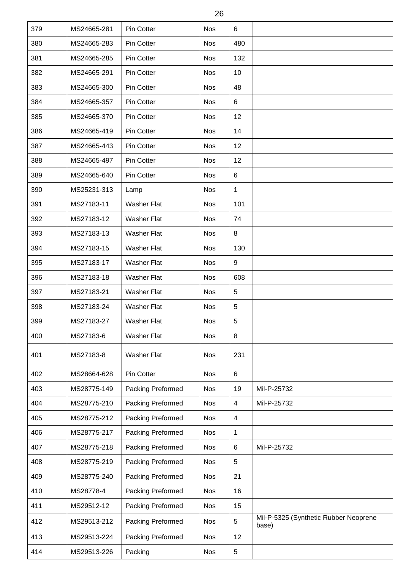| 26  |             |                    |            |                         |                                                |  |  |  |
|-----|-------------|--------------------|------------|-------------------------|------------------------------------------------|--|--|--|
| 379 | MS24665-281 | Pin Cotter         | <b>Nos</b> | 6                       |                                                |  |  |  |
| 380 | MS24665-283 | Pin Cotter         | <b>Nos</b> | 480                     |                                                |  |  |  |
| 381 | MS24665-285 | Pin Cotter         | <b>Nos</b> | 132                     |                                                |  |  |  |
| 382 | MS24665-291 | Pin Cotter         | <b>Nos</b> | 10                      |                                                |  |  |  |
| 383 | MS24665-300 | Pin Cotter         | <b>Nos</b> | 48                      |                                                |  |  |  |
| 384 | MS24665-357 | Pin Cotter         | <b>Nos</b> | 6                       |                                                |  |  |  |
| 385 | MS24665-370 | Pin Cotter         | <b>Nos</b> | 12                      |                                                |  |  |  |
| 386 | MS24665-419 | Pin Cotter         | <b>Nos</b> | 14                      |                                                |  |  |  |
| 387 | MS24665-443 | Pin Cotter         | <b>Nos</b> | 12                      |                                                |  |  |  |
| 388 | MS24665-497 | Pin Cotter         | <b>Nos</b> | 12                      |                                                |  |  |  |
| 389 | MS24665-640 | Pin Cotter         | <b>Nos</b> | 6                       |                                                |  |  |  |
| 390 | MS25231-313 | Lamp               | <b>Nos</b> | 1                       |                                                |  |  |  |
| 391 | MS27183-11  | <b>Washer Flat</b> | <b>Nos</b> | 101                     |                                                |  |  |  |
| 392 | MS27183-12  | <b>Washer Flat</b> | <b>Nos</b> | 74                      |                                                |  |  |  |
| 393 | MS27183-13  | <b>Washer Flat</b> | <b>Nos</b> | 8                       |                                                |  |  |  |
| 394 | MS27183-15  | <b>Washer Flat</b> | <b>Nos</b> | 130                     |                                                |  |  |  |
| 395 | MS27183-17  | <b>Washer Flat</b> | <b>Nos</b> | 9                       |                                                |  |  |  |
| 396 | MS27183-18  | <b>Washer Flat</b> | <b>Nos</b> | 608                     |                                                |  |  |  |
| 397 | MS27183-21  | <b>Washer Flat</b> | <b>Nos</b> | 5                       |                                                |  |  |  |
| 398 | MS27183-24  | <b>Washer Flat</b> | <b>Nos</b> | 5                       |                                                |  |  |  |
| 399 | MS27183-27  | <b>Washer Flat</b> | <b>Nos</b> | 5                       |                                                |  |  |  |
| 400 | MS27183-6   | <b>Washer Flat</b> | <b>Nos</b> | 8                       |                                                |  |  |  |
| 401 | MS27183-8   | <b>Washer Flat</b> | <b>Nos</b> | 231                     |                                                |  |  |  |
| 402 | MS28664-628 | Pin Cotter         | <b>Nos</b> | 6                       |                                                |  |  |  |
| 403 | MS28775-149 | Packing Preformed  | <b>Nos</b> | 19                      | Mil-P-25732                                    |  |  |  |
| 404 | MS28775-210 | Packing Preformed  | <b>Nos</b> | 4                       | Mil-P-25732                                    |  |  |  |
| 405 | MS28775-212 | Packing Preformed  | <b>Nos</b> | $\overline{\mathbf{4}}$ |                                                |  |  |  |
| 406 | MS28775-217 | Packing Preformed  | <b>Nos</b> | 1                       |                                                |  |  |  |
| 407 | MS28775-218 | Packing Preformed  | <b>Nos</b> | 6                       | Mil-P-25732                                    |  |  |  |
| 408 | MS28775-219 | Packing Preformed  | <b>Nos</b> | 5                       |                                                |  |  |  |
| 409 | MS28775-240 | Packing Preformed  | <b>Nos</b> | 21                      |                                                |  |  |  |
| 410 | MS28778-4   | Packing Preformed  | <b>Nos</b> | 16                      |                                                |  |  |  |
| 411 | MS29512-12  | Packing Preformed  | <b>Nos</b> | 15                      |                                                |  |  |  |
| 412 | MS29513-212 | Packing Preformed  | <b>Nos</b> | 5                       | Mil-P-5325 (Synthetic Rubber Neoprene<br>base) |  |  |  |
| 413 | MS29513-224 | Packing Preformed  | <b>Nos</b> | 12                      |                                                |  |  |  |
| 414 | MS29513-226 | Packing            | <b>Nos</b> | 5                       |                                                |  |  |  |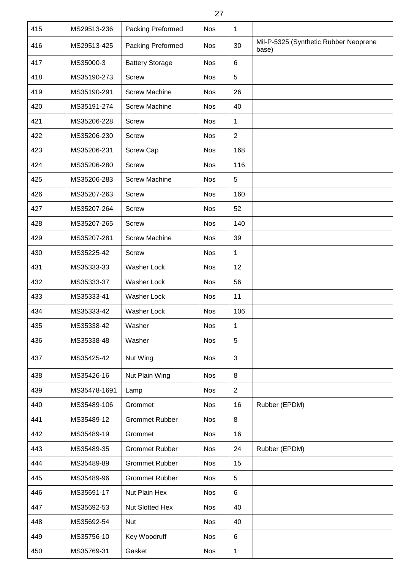| 415 | MS29513-236  | Packing Preformed      | <b>Nos</b> | $\mathbf 1$    |                                                |
|-----|--------------|------------------------|------------|----------------|------------------------------------------------|
| 416 | MS29513-425  | Packing Preformed      | <b>Nos</b> | 30             | Mil-P-5325 (Synthetic Rubber Neoprene<br>base) |
| 417 | MS35000-3    | <b>Battery Storage</b> | <b>Nos</b> | $6\phantom{1}$ |                                                |
| 418 | MS35190-273  | <b>Screw</b>           | <b>Nos</b> | 5              |                                                |
| 419 | MS35190-291  | <b>Screw Machine</b>   | <b>Nos</b> | 26             |                                                |
| 420 | MS35191-274  | <b>Screw Machine</b>   | <b>Nos</b> | 40             |                                                |
| 421 | MS35206-228  | <b>Screw</b>           | <b>Nos</b> | $\mathbf{1}$   |                                                |
| 422 | MS35206-230  | <b>Screw</b>           | <b>Nos</b> | $\overline{2}$ |                                                |
| 423 | MS35206-231  | Screw Cap              | <b>Nos</b> | 168            |                                                |
| 424 | MS35206-280  | <b>Screw</b>           | <b>Nos</b> | 116            |                                                |
| 425 | MS35206-283  | <b>Screw Machine</b>   | <b>Nos</b> | 5              |                                                |
| 426 | MS35207-263  | <b>Screw</b>           | <b>Nos</b> | 160            |                                                |
| 427 | MS35207-264  | <b>Screw</b>           | <b>Nos</b> | 52             |                                                |
| 428 | MS35207-265  | <b>Screw</b>           | <b>Nos</b> | 140            |                                                |
| 429 | MS35207-281  | <b>Screw Machine</b>   | <b>Nos</b> | 39             |                                                |
| 430 | MS35225-42   | <b>Screw</b>           | <b>Nos</b> | $\mathbf{1}$   |                                                |
| 431 | MS35333-33   | Washer Lock            | <b>Nos</b> | 12             |                                                |
| 432 | MS35333-37   | <b>Washer Lock</b>     | <b>Nos</b> | 56             |                                                |
| 433 | MS35333-41   | Washer Lock            | <b>Nos</b> | 11             |                                                |
| 434 | MS35333-42   | <b>Washer Lock</b>     | <b>Nos</b> | 106            |                                                |
| 435 | MS35338-42   | Washer                 | <b>Nos</b> | 1              |                                                |
| 436 | MS35338-48   | Washer                 | <b>Nos</b> | 5              |                                                |
| 437 | MS35425-42   | Nut Wing               | <b>Nos</b> | 3              |                                                |
| 438 | MS35426-16   | Nut Plain Wing         | <b>Nos</b> | 8              |                                                |
| 439 | MS35478-1691 | Lamp                   | <b>Nos</b> | $\overline{2}$ |                                                |
| 440 | MS35489-106  | Grommet                | <b>Nos</b> | 16             | Rubber (EPDM)                                  |
| 441 | MS35489-12   | <b>Grommet Rubber</b>  | <b>Nos</b> | $\,8\,$        |                                                |
| 442 | MS35489-19   | Grommet                | <b>Nos</b> | 16             |                                                |
| 443 | MS35489-35   | <b>Grommet Rubber</b>  | <b>Nos</b> | 24             | Rubber (EPDM)                                  |
| 444 | MS35489-89   | <b>Grommet Rubber</b>  | <b>Nos</b> | 15             |                                                |
| 445 | MS35489-96   | <b>Grommet Rubber</b>  | <b>Nos</b> | 5              |                                                |
| 446 | MS35691-17   | Nut Plain Hex          | <b>Nos</b> | $\,6\,$        |                                                |
| 447 | MS35692-53   | Nut Slotted Hex        | <b>Nos</b> | 40             |                                                |
| 448 | MS35692-54   | Nut                    | <b>Nos</b> | 40             |                                                |
| 449 | MS35756-10   | Key Woodruff           | <b>Nos</b> | $\,6\,$        |                                                |
| 450 | MS35769-31   | Gasket                 | <b>Nos</b> | $\mathbf{1}$   |                                                |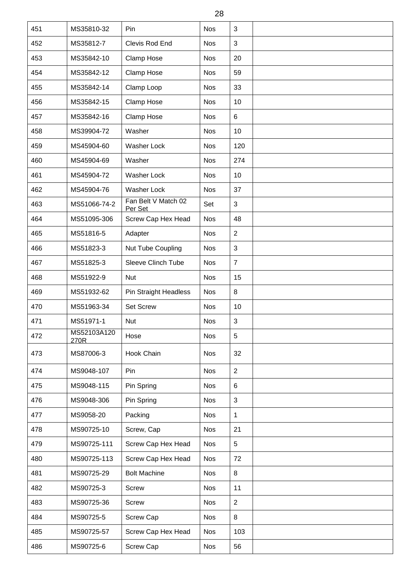| 28  |                     |                                |            |                |  |  |  |  |
|-----|---------------------|--------------------------------|------------|----------------|--|--|--|--|
| 451 | MS35810-32          | Pin                            | <b>Nos</b> | 3              |  |  |  |  |
| 452 | MS35812-7           | Clevis Rod End                 | <b>Nos</b> | 3              |  |  |  |  |
| 453 | MS35842-10          | Clamp Hose                     | <b>Nos</b> | 20             |  |  |  |  |
| 454 | MS35842-12          | Clamp Hose                     | <b>Nos</b> | 59             |  |  |  |  |
| 455 | MS35842-14          | Clamp Loop                     | <b>Nos</b> | 33             |  |  |  |  |
| 456 | MS35842-15          | Clamp Hose                     | <b>Nos</b> | 10             |  |  |  |  |
| 457 | MS35842-16          | Clamp Hose                     | <b>Nos</b> | 6              |  |  |  |  |
| 458 | MS39904-72          | Washer                         | <b>Nos</b> | 10             |  |  |  |  |
| 459 | MS45904-60          | Washer Lock                    | <b>Nos</b> | 120            |  |  |  |  |
| 460 | MS45904-69          | Washer                         | <b>Nos</b> | 274            |  |  |  |  |
| 461 | MS45904-72          | <b>Washer Lock</b>             | <b>Nos</b> | 10             |  |  |  |  |
| 462 | MS45904-76          | Washer Lock                    | <b>Nos</b> | 37             |  |  |  |  |
| 463 | MS51066-74-2        | Fan Belt V Match 02<br>Per Set | Set        | 3              |  |  |  |  |
| 464 | MS51095-306         | Screw Cap Hex Head             | <b>Nos</b> | 48             |  |  |  |  |
| 465 | MS51816-5           | Adapter                        | <b>Nos</b> | $\overline{2}$ |  |  |  |  |
| 466 | MS51823-3           | Nut Tube Coupling              | <b>Nos</b> | 3              |  |  |  |  |
| 467 | MS51825-3           | <b>Sleeve Clinch Tube</b>      | <b>Nos</b> | $\overline{7}$ |  |  |  |  |
| 468 | MS51922-9           | <b>Nut</b>                     | <b>Nos</b> | 15             |  |  |  |  |
| 469 | MS51932-62          | <b>Pin Straight Headless</b>   | <b>Nos</b> | 8              |  |  |  |  |
| 470 | MS51963-34          | <b>Set Screw</b>               | <b>Nos</b> | 10             |  |  |  |  |
| 471 | MS51971-1           | Nut                            | <b>Nos</b> | 3              |  |  |  |  |
| 472 | MS52103A120<br>270R | Hose                           | <b>Nos</b> | 5              |  |  |  |  |
| 473 | MS87006-3           | Hook Chain                     | <b>Nos</b> | 32             |  |  |  |  |
| 474 | MS9048-107          | Pin                            | <b>Nos</b> | $\overline{2}$ |  |  |  |  |
| 475 | MS9048-115          | Pin Spring                     | <b>Nos</b> | 6              |  |  |  |  |
| 476 | MS9048-306          | Pin Spring                     | <b>Nos</b> | 3              |  |  |  |  |
| 477 | MS9058-20           | Packing                        | <b>Nos</b> | 1              |  |  |  |  |
| 478 | MS90725-10          | Screw, Cap                     | <b>Nos</b> | 21             |  |  |  |  |
| 479 | MS90725-111         | Screw Cap Hex Head             | <b>Nos</b> | 5              |  |  |  |  |
| 480 | MS90725-113         | Screw Cap Hex Head             | <b>Nos</b> | 72             |  |  |  |  |
| 481 | MS90725-29          | <b>Bolt Machine</b>            | <b>Nos</b> | 8              |  |  |  |  |
| 482 | MS90725-3           | Screw                          | <b>Nos</b> | 11             |  |  |  |  |
| 483 | MS90725-36          | Screw                          | <b>Nos</b> | $\overline{2}$ |  |  |  |  |
| 484 | MS90725-5           | Screw Cap                      | <b>Nos</b> | 8              |  |  |  |  |
| 485 | MS90725-57          | Screw Cap Hex Head             | <b>Nos</b> | 103            |  |  |  |  |
| 486 | MS90725-6           | Screw Cap                      | <b>Nos</b> | 56             |  |  |  |  |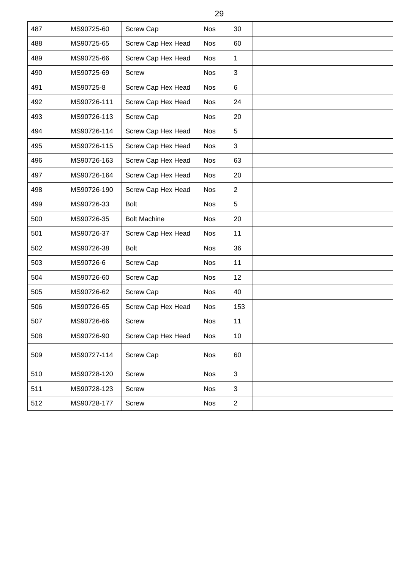| 487 | MS90725-60  | <b>Screw Cap</b>    | <b>Nos</b> | 30             |  |
|-----|-------------|---------------------|------------|----------------|--|
| 488 | MS90725-65  | Screw Cap Hex Head  | <b>Nos</b> | 60             |  |
| 489 | MS90725-66  | Screw Cap Hex Head  | <b>Nos</b> | 1              |  |
| 490 | MS90725-69  | <b>Screw</b>        | <b>Nos</b> | 3              |  |
| 491 | MS90725-8   | Screw Cap Hex Head  | <b>Nos</b> | 6              |  |
| 492 | MS90726-111 | Screw Cap Hex Head  | <b>Nos</b> | 24             |  |
| 493 | MS90726-113 | Screw Cap           | <b>Nos</b> | 20             |  |
| 494 | MS90726-114 | Screw Cap Hex Head  | <b>Nos</b> | 5              |  |
| 495 | MS90726-115 | Screw Cap Hex Head  | <b>Nos</b> | 3              |  |
| 496 | MS90726-163 | Screw Cap Hex Head  | <b>Nos</b> | 63             |  |
| 497 | MS90726-164 | Screw Cap Hex Head  | <b>Nos</b> | 20             |  |
| 498 | MS90726-190 | Screw Cap Hex Head  | <b>Nos</b> | $\overline{2}$ |  |
| 499 | MS90726-33  | <b>Bolt</b>         | <b>Nos</b> | 5              |  |
| 500 | MS90726-35  | <b>Bolt Machine</b> | <b>Nos</b> | 20             |  |
| 501 | MS90726-37  | Screw Cap Hex Head  | <b>Nos</b> | 11             |  |
| 502 | MS90726-38  | <b>Bolt</b>         | <b>Nos</b> | 36             |  |
| 503 | MS90726-6   | Screw Cap           | <b>Nos</b> | 11             |  |
| 504 | MS90726-60  | <b>Screw Cap</b>    | <b>Nos</b> | 12             |  |
| 505 | MS90726-62  | <b>Screw Cap</b>    | <b>Nos</b> | 40             |  |
| 506 | MS90726-65  | Screw Cap Hex Head  | <b>Nos</b> | 153            |  |
| 507 | MS90726-66  | <b>Screw</b>        | <b>Nos</b> | 11             |  |
| 508 | MS90726-90  | Screw Cap Hex Head  | <b>Nos</b> | 10             |  |
| 509 | MS90727-114 | <b>Screw Cap</b>    | <b>Nos</b> | 60             |  |
| 510 | MS90728-120 | Screw               | <b>Nos</b> | $\mathfrak{S}$ |  |
| 511 | MS90728-123 | Screw               | <b>Nos</b> | 3              |  |
| 512 | MS90728-177 | Screw               | Nos        | $\overline{2}$ |  |
|     |             |                     |            |                |  |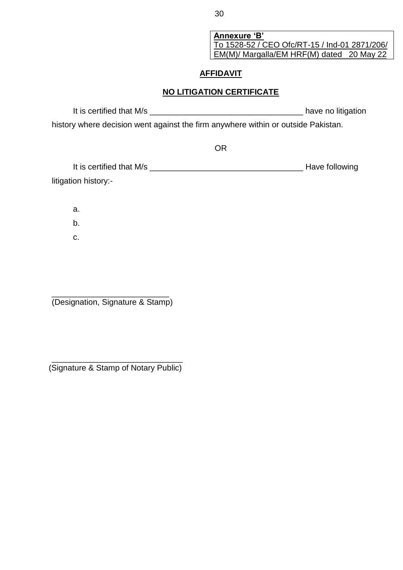**Annexure 'B'** To 1528-52 / CEO Ofc/RT-15 / Ind-01 2871/206/ EM(M)/ Margalla/EM HRF(M) dated 20 May 22

## **AFFIDAVIT**

## **NO LITIGATION CERTIFICATE**

It is certified that M/s \_\_\_\_\_\_\_\_\_\_\_\_\_\_\_\_\_\_\_\_\_\_\_\_\_\_\_\_\_\_\_\_\_\_ have no litigation history where decision went against the firm anywhere within or outside Pakistan.

OR

| It is certified that M/s | Have following |
|--------------------------|----------------|
| litigation history:-     |                |

a.

b.

c.

\_\_\_\_\_\_\_\_\_\_\_\_\_\_\_\_\_\_\_\_\_\_\_\_\_\_ (Designation, Signature & Stamp)

\_\_\_\_\_\_\_\_\_\_\_\_\_\_\_\_\_\_\_\_\_\_\_\_\_\_\_\_\_ (Signature & Stamp of Notary Public)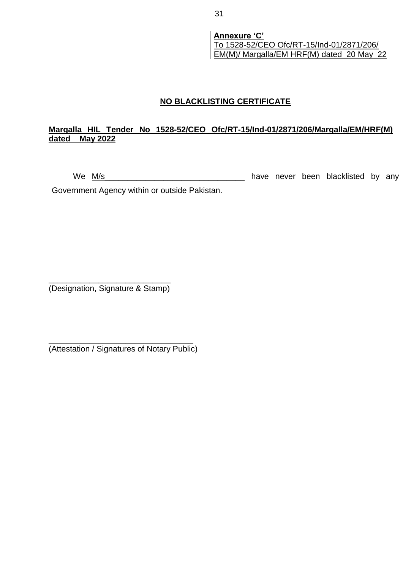**Annexure 'C'** To 1528-52/CEO Ofc/RT-15/Ind-01/2871/206/ EM(M)/ Margalla/EM HRF(M) dated 20 May 22

## **NO BLACKLISTING CERTIFICATE**

#### **Margalla HIL Tender No 1528-52/CEO Ofc/RT-15/Ind-01/2871/206/Margalla/EM/HRF(M) dated May 2022**

We M/s \_\_\_\_\_\_\_\_\_\_\_\_\_\_\_\_\_\_\_\_\_\_\_\_\_\_\_\_\_\_\_\_\_ have never been blacklisted by any

Government Agency within or outside Pakistan.

\_\_\_\_\_\_\_\_\_\_\_\_\_\_\_\_\_\_\_\_\_\_\_\_\_\_\_ (Designation, Signature & Stamp)

\_\_\_\_\_\_\_\_\_\_\_\_\_\_\_\_\_\_\_\_\_\_\_\_\_\_\_\_\_\_\_\_ (Attestation / Signatures of Notary Public)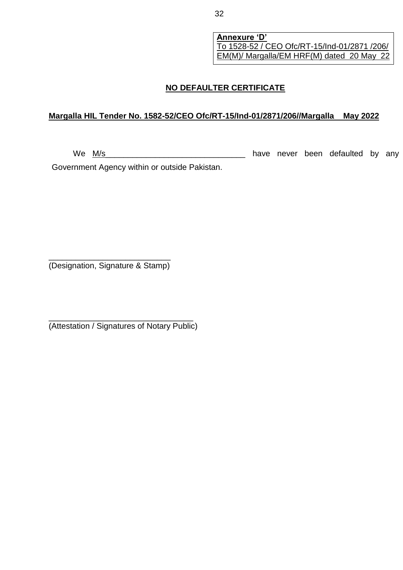**Annexure 'D'** To 1528-52 / CEO Ofc/RT-15/Ind-01/2871 /206/ EM(M)/ Margalla/EM HRF(M) dated 20 May 22

## **NO DEFAULTER CERTIFICATE**

#### **Margalla HIL Tender No. 1582-52/CEO Ofc/RT-15/Ind-01/2871/206//Margalla May 2022**

We M/s \_\_\_\_\_\_\_\_\_\_\_\_\_\_\_\_\_\_\_\_\_\_\_\_\_\_\_\_\_\_\_\_ have never been defaulted by any

Government Agency within or outside Pakistan.

\_\_\_\_\_\_\_\_\_\_\_\_\_\_\_\_\_\_\_\_\_\_\_\_\_\_\_ (Designation, Signature & Stamp)

\_\_\_\_\_\_\_\_\_\_\_\_\_\_\_\_\_\_\_\_\_\_\_\_\_\_\_\_\_\_\_\_ (Attestation / Signatures of Notary Public)